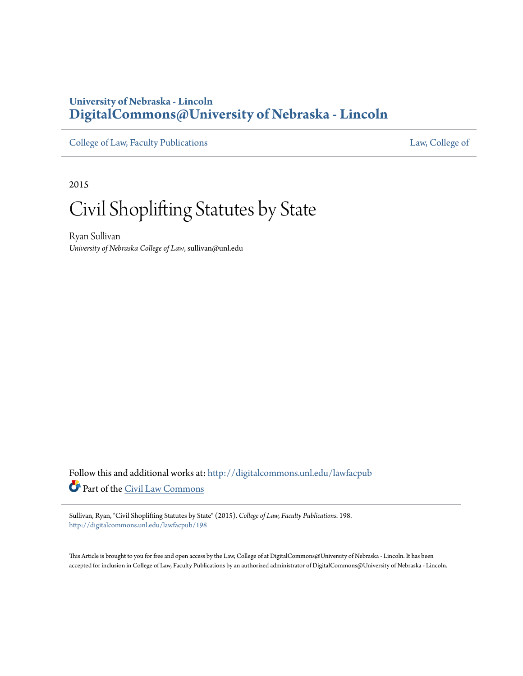### **University of Nebraska - Lincoln [DigitalCommons@University of Nebraska - Lincoln](http://digitalcommons.unl.edu?utm_source=digitalcommons.unl.edu%2Flawfacpub%2F198&utm_medium=PDF&utm_campaign=PDFCoverPages)**

[College of Law, Faculty Publications](http://digitalcommons.unl.edu/lawfacpub?utm_source=digitalcommons.unl.edu%2Flawfacpub%2F198&utm_medium=PDF&utm_campaign=PDFCoverPages) [Law, College of](http://digitalcommons.unl.edu/law?utm_source=digitalcommons.unl.edu%2Flawfacpub%2F198&utm_medium=PDF&utm_campaign=PDFCoverPages) Law, College of

2015

# Civil Shoplifting Statutes by State

Ryan Sullivan *University of Nebraska College of Law*, sullivan@unl.edu

Follow this and additional works at: [http://digitalcommons.unl.edu/lawfacpub](http://digitalcommons.unl.edu/lawfacpub?utm_source=digitalcommons.unl.edu%2Flawfacpub%2F198&utm_medium=PDF&utm_campaign=PDFCoverPages) Part of the [Civil Law Commons](http://network.bepress.com/hgg/discipline/835?utm_source=digitalcommons.unl.edu%2Flawfacpub%2F198&utm_medium=PDF&utm_campaign=PDFCoverPages)

Sullivan, Ryan, "Civil Shoplifting Statutes by State" (2015). *College of Law, Faculty Publications*. 198. [http://digitalcommons.unl.edu/lawfacpub/198](http://digitalcommons.unl.edu/lawfacpub/198?utm_source=digitalcommons.unl.edu%2Flawfacpub%2F198&utm_medium=PDF&utm_campaign=PDFCoverPages)

This Article is brought to you for free and open access by the Law, College of at DigitalCommons@University of Nebraska - Lincoln. It has been accepted for inclusion in College of Law, Faculty Publications by an authorized administrator of DigitalCommons@University of Nebraska - Lincoln.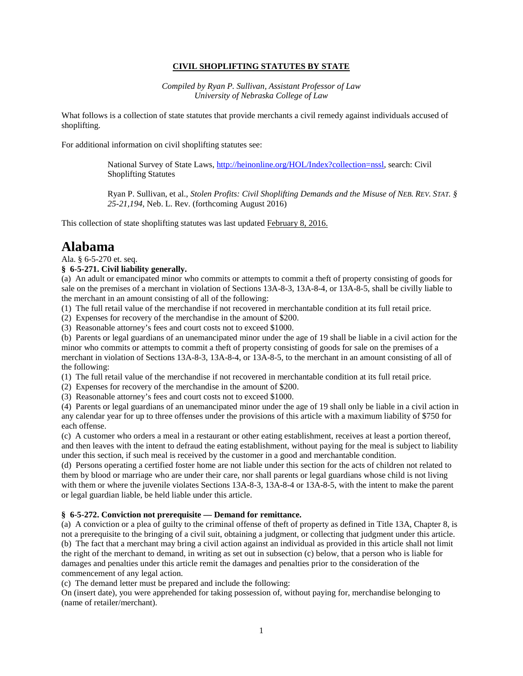#### **CIVIL SHOPLIFTING STATUTES BY STATE**

*Compiled by Ryan P. Sullivan, Assistant Professor of Law University of Nebraska College of Law*

What follows is a collection of state statutes that provide merchants a civil remedy against individuals accused of shoplifting.

For additional information on civil shoplifting statutes see:

National Survey of State Laws, [http://heinonline.org/HOL/Index?collection=nssl,](http://heinonline.org/HOL/Index?collection=nssl) search: Civil Shoplifting Statutes

Ryan P. Sullivan, et al., *Stolen Profits: Civil Shoplifting Demands and the Misuse of NEB. REV. STAT. § 25-21,194*, Neb. L. Rev. (forthcoming August 2016)

This collection of state shoplifting statutes was last updated February 8, 2016.

### **Alabama**

Ala. § 6-5-270 et. seq.

#### **§ 6-5-271. Civil liability generally.**

(a) An adult or emancipated minor who commits or attempts to commit a theft of property consisting of goods for sale on the premises of a merchant in violation of Sections 13A-8-3, 13A-8-4, or 13A-8-5, shall be civilly liable to the merchant in an amount consisting of all of the following:

(1) The full retail value of the merchandise if not recovered in merchantable condition at its full retail price.

(2) Expenses for recovery of the merchandise in the amount of \$200.

(3) Reasonable attorney's fees and court costs not to exceed \$1000.

(b) Parents or legal guardians of an unemancipated minor under the age of 19 shall be liable in a civil action for the minor who commits or attempts to commit a theft of property consisting of goods for sale on the premises of a merchant in violation of Sections 13A-8-3, 13A-8-4, or 13A-8-5, to the merchant in an amount consisting of all of the following:

(1) The full retail value of the merchandise if not recovered in merchantable condition at its full retail price.

(2) Expenses for recovery of the merchandise in the amount of \$200.

(3) Reasonable attorney's fees and court costs not to exceed \$1000.

(4) Parents or legal guardians of an unemancipated minor under the age of 19 shall only be liable in a civil action in any calendar year for up to three offenses under the provisions of this article with a maximum liability of \$750 for each offense.

(c) A customer who orders a meal in a restaurant or other eating establishment, receives at least a portion thereof, and then leaves with the intent to defraud the eating establishment, without paying for the meal is subject to liability under this section, if such meal is received by the customer in a good and merchantable condition.

(d) Persons operating a certified foster home are not liable under this section for the acts of children not related to them by blood or marriage who are under their care, nor shall parents or legal guardians whose child is not living with them or where the juvenile violates Sections 13A-8-3, 13A-8-4 or 13A-8-5, with the intent to make the parent or legal guardian liable, be held liable under this article.

#### **§ 6-5-272. Conviction not prerequisite — Demand for remittance.**

(a) A conviction or a plea of guilty to the criminal offense of theft of property as defined in Title 13A, Chapter 8, is not a prerequisite to the bringing of a civil suit, obtaining a judgment, or collecting that judgment under this article. (b) The fact that a merchant may bring a civil action against an individual as provided in this article shall not limit the right of the merchant to demand, in writing as set out in subsection (c) below, that a person who is liable for damages and penalties under this article remit the damages and penalties prior to the consideration of the commencement of any legal action.

(c) The demand letter must be prepared and include the following:

On (insert date), you were apprehended for taking possession of, without paying for, merchandise belonging to (name of retailer/merchant).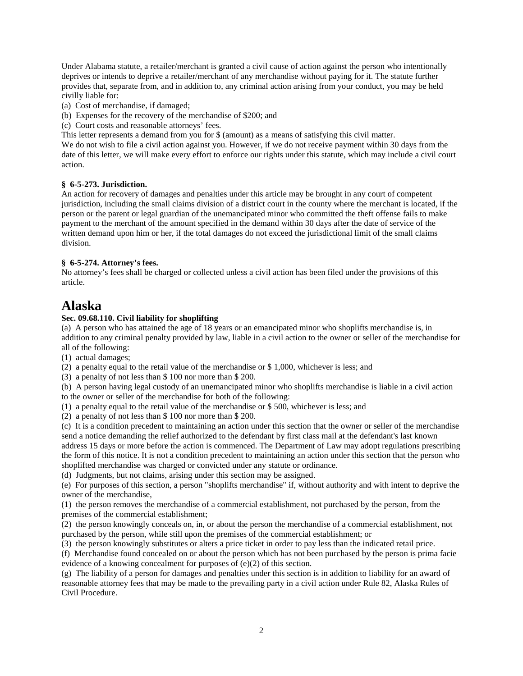Under Alabama statute, a retailer/merchant is granted a civil cause of action against the person who intentionally deprives or intends to deprive a retailer/merchant of any merchandise without paying for it. The statute further provides that, separate from, and in addition to, any criminal action arising from your conduct, you may be held civilly liable for:

(a) Cost of merchandise, if damaged;

(b) Expenses for the recovery of the merchandise of \$200; and

(c) Court costs and reasonable attorneys' fees.

This letter represents a demand from you for \$ (amount) as a means of satisfying this civil matter.

We do not wish to file a civil action against you. However, if we do not receive payment within 30 days from the date of this letter, we will make every effort to enforce our rights under this statute, which may include a civil court action.

#### **§ 6-5-273. Jurisdiction.**

An action for recovery of damages and penalties under this article may be brought in any court of competent jurisdiction, including the small claims division of a district court in the county where the merchant is located, if the person or the parent or legal guardian of the unemancipated minor who committed the theft offense fails to make payment to the merchant of the amount specified in the demand within 30 days after the date of service of the written demand upon him or her, if the total damages do not exceed the jurisdictional limit of the small claims division.

#### **§ 6-5-274. Attorney's fees.**

No attorney's fees shall be charged or collected unless a civil action has been filed under the provisions of this article.

### **Alaska**

#### **Sec. 09.68.110. Civil liability for shoplifting**

(a) A person who has attained the age of 18 years or an emancipated minor who shoplifts merchandise is, in addition to any criminal penalty provided by law, liable in a civil action to the owner or seller of the merchandise for all of the following:

(1) actual damages;

(2) a penalty equal to the retail value of the merchandise or \$ 1,000, whichever is less; and

(3) a penalty of not less than \$ 100 nor more than \$ 200.

(b) A person having legal custody of an unemancipated minor who shoplifts merchandise is liable in a civil action to the owner or seller of the merchandise for both of the following:

(1) a penalty equal to the retail value of the merchandise or \$ 500, whichever is less; and

(2) a penalty of not less than \$ 100 nor more than \$ 200.

(c) It is a condition precedent to maintaining an action under this section that the owner or seller of the merchandise send a notice demanding the relief authorized to the defendant by first class mail at the defendant's last known

address 15 days or more before the action is commenced. The Department of Law may adopt regulations prescribing the form of this notice. It is not a condition precedent to maintaining an action under this section that the person who shoplifted merchandise was charged or convicted under any statute or ordinance.

(d) Judgments, but not claims, arising under this section may be assigned.

(e) For purposes of this section, a person "shoplifts merchandise" if, without authority and with intent to deprive the owner of the merchandise,

(1) the person removes the merchandise of a commercial establishment, not purchased by the person, from the premises of the commercial establishment;

(2) the person knowingly conceals on, in, or about the person the merchandise of a commercial establishment, not purchased by the person, while still upon the premises of the commercial establishment; or

(3) the person knowingly substitutes or alters a price ticket in order to pay less than the indicated retail price.

(f) Merchandise found concealed on or about the person which has not been purchased by the person is prima facie evidence of a knowing concealment for purposes of (e)(2) of this section.

(g) The liability of a person for damages and penalties under this section is in addition to liability for an award of reasonable attorney fees that may be made to the prevailing party in a civil action under Rule 82, Alaska Rules of Civil Procedure.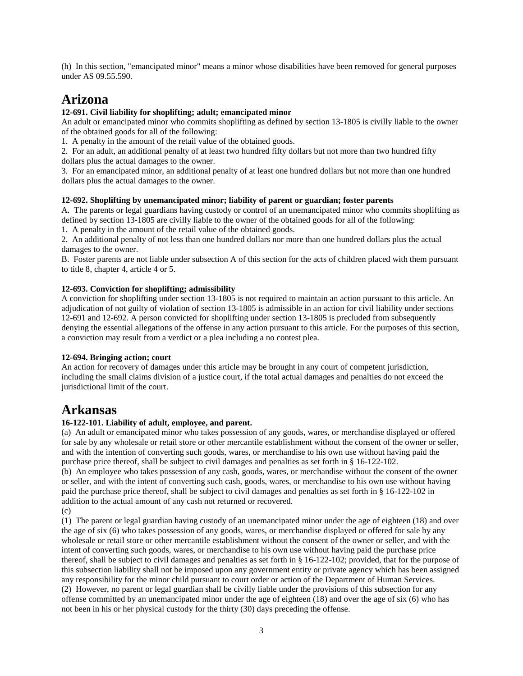(h) In this section, "emancipated minor" means a minor whose disabilities have been removed for general purposes under AS 09.55.590.

### **Arizona**

#### **12-691. Civil liability for shoplifting; adult; emancipated minor**

An adult or emancipated minor who commits shoplifting as defined by section 13-1805 is civilly liable to the owner of the obtained goods for all of the following:

1. A penalty in the amount of the retail value of the obtained goods.

2. For an adult, an additional penalty of at least two hundred fifty dollars but not more than two hundred fifty dollars plus the actual damages to the owner.

3. For an emancipated minor, an additional penalty of at least one hundred dollars but not more than one hundred dollars plus the actual damages to the owner.

#### **12-692. Shoplifting by unemancipated minor; liability of parent or guardian; foster parents**

A. The parents or legal guardians having custody or control of an unemancipated minor who commits shoplifting as defined by section 13-1805 are civilly liable to the owner of the obtained goods for all of the following:

1. A penalty in the amount of the retail value of the obtained goods.

2. An additional penalty of not less than one hundred dollars nor more than one hundred dollars plus the actual damages to the owner.

B. Foster parents are not liable under subsection A of this section for the acts of children placed with them pursuant to title 8, chapter 4, article 4 or 5.

#### **12-693. Conviction for shoplifting; admissibility**

A conviction for shoplifting under section 13-1805 is not required to maintain an action pursuant to this article. An adjudication of not guilty of violation of section 13-1805 is admissible in an action for civil liability under sections 12-691 and 12-692. A person convicted for shoplifting under section 13-1805 is precluded from subsequently denying the essential allegations of the offense in any action pursuant to this article. For the purposes of this section, a conviction may result from a verdict or a plea including a no contest plea.

#### **12-694. Bringing action; court**

An action for recovery of damages under this article may be brought in any court of competent jurisdiction, including the small claims division of a justice court, if the total actual damages and penalties do not exceed the jurisdictional limit of the court.

### **Arkansas**

#### **16-122-101. Liability of adult, employee, and parent.**

(a) An adult or emancipated minor who takes possession of any goods, wares, or merchandise displayed or offered for sale by any wholesale or retail store or other mercantile establishment without the consent of the owner or seller, and with the intention of converting such goods, wares, or merchandise to his own use without having paid the purchase price thereof, shall be subject to civil damages and penalties as set forth in § 16-122-102.

(b) An employee who takes possession of any cash, goods, wares, or merchandise without the consent of the owner or seller, and with the intent of converting such cash, goods, wares, or merchandise to his own use without having paid the purchase price thereof, shall be subject to civil damages and penalties as set forth in § 16-122-102 in addition to the actual amount of any cash not returned or recovered.

(c)

(1) The parent or legal guardian having custody of an unemancipated minor under the age of eighteen (18) and over the age of six (6) who takes possession of any goods, wares, or merchandise displayed or offered for sale by any wholesale or retail store or other mercantile establishment without the consent of the owner or seller, and with the intent of converting such goods, wares, or merchandise to his own use without having paid the purchase price thereof, shall be subject to civil damages and penalties as set forth in § 16-122-102; provided, that for the purpose of this subsection liability shall not be imposed upon any government entity or private agency which has been assigned any responsibility for the minor child pursuant to court order or action of the Department of Human Services. (2) However, no parent or legal guardian shall be civilly liable under the provisions of this subsection for any offense committed by an unemancipated minor under the age of eighteen (18) and over the age of six (6) who has not been in his or her physical custody for the thirty (30) days preceding the offense.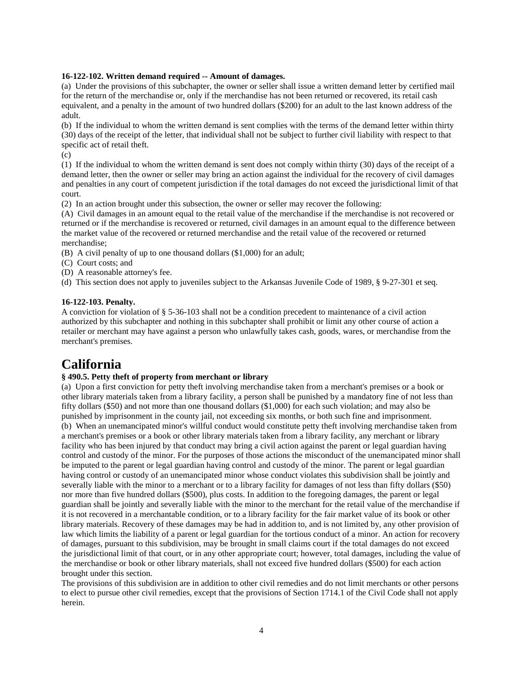#### **16-122-102. Written demand required -- Amount of damages.**

(a) Under the provisions of this subchapter, the owner or seller shall issue a written demand letter by certified mail for the return of the merchandise or, only if the merchandise has not been returned or recovered, its retail cash equivalent, and a penalty in the amount of two hundred dollars (\$200) for an adult to the last known address of the adult.

(b) If the individual to whom the written demand is sent complies with the terms of the demand letter within thirty (30) days of the receipt of the letter, that individual shall not be subject to further civil liability with respect to that specific act of retail theft.

(c)

(1) If the individual to whom the written demand is sent does not comply within thirty (30) days of the receipt of a demand letter, then the owner or seller may bring an action against the individual for the recovery of civil damages and penalties in any court of competent jurisdiction if the total damages do not exceed the jurisdictional limit of that court.

(2) In an action brought under this subsection, the owner or seller may recover the following:

(A) Civil damages in an amount equal to the retail value of the merchandise if the merchandise is not recovered or returned or if the merchandise is recovered or returned, civil damages in an amount equal to the difference between the market value of the recovered or returned merchandise and the retail value of the recovered or returned merchandise;

(B) A civil penalty of up to one thousand dollars (\$1,000) for an adult;

(C) Court costs; and

(D) A reasonable attorney's fee.

(d) This section does not apply to juveniles subject to the Arkansas Juvenile Code of 1989, § 9-27-301 et seq.

#### **16-122-103. Penalty.**

A conviction for violation of § 5-36-103 shall not be a condition precedent to maintenance of a civil action authorized by this subchapter and nothing in this subchapter shall prohibit or limit any other course of action a retailer or merchant may have against a person who unlawfully takes cash, goods, wares, or merchandise from the merchant's premises.

### **California**

#### **§ 490.5. Petty theft of property from merchant or library**

(a) Upon a first conviction for petty theft involving merchandise taken from a merchant's premises or a book or other library materials taken from a library facility, a person shall be punished by a mandatory fine of not less than fifty dollars (\$50) and not more than one thousand dollars (\$1,000) for each such violation; and may also be punished by imprisonment in the county jail, not exceeding six months, or both such fine and imprisonment. (b) When an unemancipated minor's willful conduct would constitute petty theft involving merchandise taken from a merchant's premises or a book or other library materials taken from a library facility, any merchant or library facility who has been injured by that conduct may bring a civil action against the parent or legal guardian having control and custody of the minor. For the purposes of those actions the misconduct of the unemancipated minor shall be imputed to the parent or legal guardian having control and custody of the minor. The parent or legal guardian having control or custody of an unemancipated minor whose conduct violates this subdivision shall be jointly and severally liable with the minor to a merchant or to a library facility for damages of not less than fifty dollars (\$50) nor more than five hundred dollars (\$500), plus costs. In addition to the foregoing damages, the parent or legal guardian shall be jointly and severally liable with the minor to the merchant for the retail value of the merchandise if it is not recovered in a merchantable condition, or to a library facility for the fair market value of its book or other library materials. Recovery of these damages may be had in addition to, and is not limited by, any other provision of law which limits the liability of a parent or legal guardian for the tortious conduct of a minor. An action for recovery of damages, pursuant to this subdivision, may be brought in small claims court if the total damages do not exceed the jurisdictional limit of that court, or in any other appropriate court; however, total damages, including the value of the merchandise or book or other library materials, shall not exceed five hundred dollars (\$500) for each action brought under this section.

The provisions of this subdivision are in addition to other civil remedies and do not limit merchants or other persons to elect to pursue other civil remedies, except that the provisions of Section 1714.1 of the Civil Code shall not apply herein.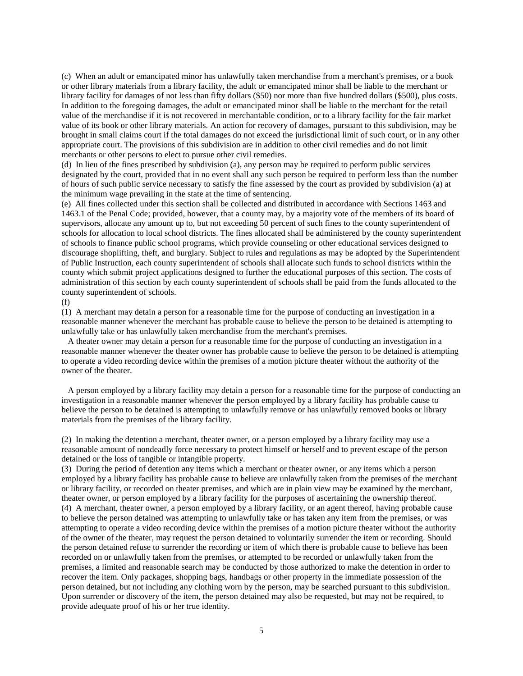(c) When an adult or emancipated minor has unlawfully taken merchandise from a merchant's premises, or a book or other library materials from a library facility, the adult or emancipated minor shall be liable to the merchant or library facility for damages of not less than fifty dollars (\$50) nor more than five hundred dollars (\$500), plus costs. In addition to the foregoing damages, the adult or emancipated minor shall be liable to the merchant for the retail value of the merchandise if it is not recovered in merchantable condition, or to a library facility for the fair market value of its book or other library materials. An action for recovery of damages, pursuant to this subdivision, may be brought in small claims court if the total damages do not exceed the jurisdictional limit of such court, or in any other appropriate court. The provisions of this subdivision are in addition to other civil remedies and do not limit merchants or other persons to elect to pursue other civil remedies.

(d) In lieu of the fines prescribed by subdivision (a), any person may be required to perform public services designated by the court, provided that in no event shall any such person be required to perform less than the number of hours of such public service necessary to satisfy the fine assessed by the court as provided by subdivision (a) at the minimum wage prevailing in the state at the time of sentencing.

(e) All fines collected under this section shall be collected and distributed in accordance with Sections 1463 and 1463.1 of the Penal Code; provided, however, that a county may, by a majority vote of the members of its board of supervisors, allocate any amount up to, but not exceeding 50 percent of such fines to the county superintendent of schools for allocation to local school districts. The fines allocated shall be administered by the county superintendent of schools to finance public school programs, which provide counseling or other educational services designed to discourage shoplifting, theft, and burglary. Subject to rules and regulations as may be adopted by the Superintendent of Public Instruction, each county superintendent of schools shall allocate such funds to school districts within the county which submit project applications designed to further the educational purposes of this section. The costs of administration of this section by each county superintendent of schools shall be paid from the funds allocated to the county superintendent of schools.

(f)

(1) A merchant may detain a person for a reasonable time for the purpose of conducting an investigation in a reasonable manner whenever the merchant has probable cause to believe the person to be detained is attempting to unlawfully take or has unlawfully taken merchandise from the merchant's premises.

 A theater owner may detain a person for a reasonable time for the purpose of conducting an investigation in a reasonable manner whenever the theater owner has probable cause to believe the person to be detained is attempting to operate a video recording device within the premises of a motion picture theater without the authority of the owner of the theater.

 A person employed by a library facility may detain a person for a reasonable time for the purpose of conducting an investigation in a reasonable manner whenever the person employed by a library facility has probable cause to believe the person to be detained is attempting to unlawfully remove or has unlawfully removed books or library materials from the premises of the library facility.

(2) In making the detention a merchant, theater owner, or a person employed by a library facility may use a reasonable amount of nondeadly force necessary to protect himself or herself and to prevent escape of the person detained or the loss of tangible or intangible property.

(3) During the period of detention any items which a merchant or theater owner, or any items which a person employed by a library facility has probable cause to believe are unlawfully taken from the premises of the merchant or library facility, or recorded on theater premises, and which are in plain view may be examined by the merchant, theater owner, or person employed by a library facility for the purposes of ascertaining the ownership thereof. (4) A merchant, theater owner, a person employed by a library facility, or an agent thereof, having probable cause to believe the person detained was attempting to unlawfully take or has taken any item from the premises, or was attempting to operate a video recording device within the premises of a motion picture theater without the authority of the owner of the theater, may request the person detained to voluntarily surrender the item or recording. Should the person detained refuse to surrender the recording or item of which there is probable cause to believe has been recorded on or unlawfully taken from the premises, or attempted to be recorded or unlawfully taken from the premises, a limited and reasonable search may be conducted by those authorized to make the detention in order to recover the item. Only packages, shopping bags, handbags or other property in the immediate possession of the person detained, but not including any clothing worn by the person, may be searched pursuant to this subdivision. Upon surrender or discovery of the item, the person detained may also be requested, but may not be required, to provide adequate proof of his or her true identity.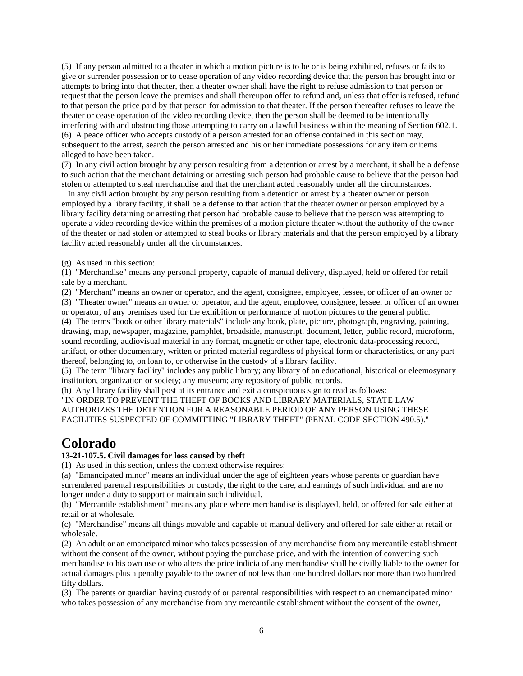(5) If any person admitted to a theater in which a motion picture is to be or is being exhibited, refuses or fails to give or surrender possession or to cease operation of any video recording device that the person has brought into or attempts to bring into that theater, then a theater owner shall have the right to refuse admission to that person or request that the person leave the premises and shall thereupon offer to refund and, unless that offer is refused, refund to that person the price paid by that person for admission to that theater. If the person thereafter refuses to leave the theater or cease operation of the video recording device, then the person shall be deemed to be intentionally interfering with and obstructing those attempting to carry on a lawful business within the meaning of Section 602.1. (6) A peace officer who accepts custody of a person arrested for an offense contained in this section may, subsequent to the arrest, search the person arrested and his or her immediate possessions for any item or items alleged to have been taken.

(7) In any civil action brought by any person resulting from a detention or arrest by a merchant, it shall be a defense to such action that the merchant detaining or arresting such person had probable cause to believe that the person had stolen or attempted to steal merchandise and that the merchant acted reasonably under all the circumstances.

 In any civil action brought by any person resulting from a detention or arrest by a theater owner or person employed by a library facility, it shall be a defense to that action that the theater owner or person employed by a library facility detaining or arresting that person had probable cause to believe that the person was attempting to operate a video recording device within the premises of a motion picture theater without the authority of the owner of the theater or had stolen or attempted to steal books or library materials and that the person employed by a library facility acted reasonably under all the circumstances.

(g) As used in this section:

(1) "Merchandise" means any personal property, capable of manual delivery, displayed, held or offered for retail sale by a merchant.

(2) "Merchant" means an owner or operator, and the agent, consignee, employee, lessee, or officer of an owner or

(3) "Theater owner" means an owner or operator, and the agent, employee, consignee, lessee, or officer of an owner or operator, of any premises used for the exhibition or performance of motion pictures to the general public.

(4) The terms "book or other library materials" include any book, plate, picture, photograph, engraving, painting, drawing, map, newspaper, magazine, pamphlet, broadside, manuscript, document, letter, public record, microform, sound recording, audiovisual material in any format, magnetic or other tape, electronic data-processing record, artifact, or other documentary, written or printed material regardless of physical form or characteristics, or any part thereof, belonging to, on loan to, or otherwise in the custody of a library facility.

(5) The term "library facility" includes any public library; any library of an educational, historical or eleemosynary institution, organization or society; any museum; any repository of public records.

(h) Any library facility shall post at its entrance and exit a conspicuous sign to read as follows:

"IN ORDER TO PREVENT THE THEFT OF BOOKS AND LIBRARY MATERIALS, STATE LAW AUTHORIZES THE DETENTION FOR A REASONABLE PERIOD OF ANY PERSON USING THESE FACILITIES SUSPECTED OF COMMITTING "LIBRARY THEFT" (PENAL CODE SECTION 490.5)."

### **Colorado**

#### **13-21-107.5. Civil damages for loss caused by theft**

(1) As used in this section, unless the context otherwise requires:

(a) "Emancipated minor" means an individual under the age of eighteen years whose parents or guardian have surrendered parental responsibilities or custody, the right to the care, and earnings of such individual and are no longer under a duty to support or maintain such individual.

(b) "Mercantile establishment" means any place where merchandise is displayed, held, or offered for sale either at retail or at wholesale.

(c) "Merchandise" means all things movable and capable of manual delivery and offered for sale either at retail or wholesale.

(2) An adult or an emancipated minor who takes possession of any merchandise from any mercantile establishment without the consent of the owner, without paying the purchase price, and with the intention of converting such merchandise to his own use or who alters the price indicia of any merchandise shall be civilly liable to the owner for actual damages plus a penalty payable to the owner of not less than one hundred dollars nor more than two hundred fifty dollars.

(3) The parents or guardian having custody of or parental responsibilities with respect to an unemancipated minor who takes possession of any merchandise from any mercantile establishment without the consent of the owner,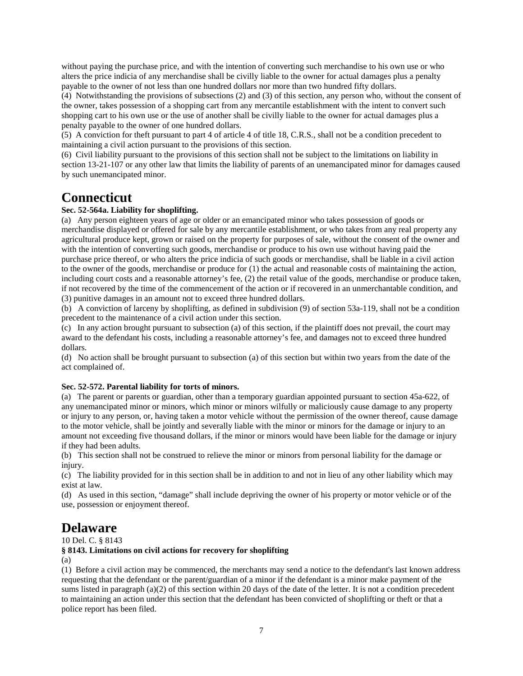without paying the purchase price, and with the intention of converting such merchandise to his own use or who alters the price indicia of any merchandise shall be civilly liable to the owner for actual damages plus a penalty payable to the owner of not less than one hundred dollars nor more than two hundred fifty dollars.

(4) Notwithstanding the provisions of subsections (2) and (3) of this section, any person who, without the consent of the owner, takes possession of a shopping cart from any mercantile establishment with the intent to convert such shopping cart to his own use or the use of another shall be civilly liable to the owner for actual damages plus a penalty payable to the owner of one hundred dollars.

(5) A conviction for theft pursuant to part 4 of article 4 of title 18, C.R.S., shall not be a condition precedent to maintaining a civil action pursuant to the provisions of this section.

(6) Civil liability pursuant to the provisions of this section shall not be subject to the limitations on liability in section 13-21-107 or any other law that limits the liability of parents of an unemancipated minor for damages caused by such unemancipated minor.

### **Connecticut**

#### **Sec. 52-564a. Liability for shoplifting.**

(a) Any person eighteen years of age or older or an emancipated minor who takes possession of goods or merchandise displayed or offered for sale by any mercantile establishment, or who takes from any real property any agricultural produce kept, grown or raised on the property for purposes of sale, without the consent of the owner and with the intention of converting such goods, merchandise or produce to his own use without having paid the purchase price thereof, or who alters the price indicia of such goods or merchandise, shall be liable in a civil action to the owner of the goods, merchandise or produce for (1) the actual and reasonable costs of maintaining the action, including court costs and a reasonable attorney's fee, (2) the retail value of the goods, merchandise or produce taken, if not recovered by the time of the commencement of the action or if recovered in an unmerchantable condition, and (3) punitive damages in an amount not to exceed three hundred dollars.

(b) A conviction of larceny by shoplifting, as defined in subdivision (9) of section 53a-119, shall not be a condition precedent to the maintenance of a civil action under this section.

(c) In any action brought pursuant to subsection (a) of this section, if the plaintiff does not prevail, the court may award to the defendant his costs, including a reasonable attorney's fee, and damages not to exceed three hundred dollars.

(d) No action shall be brought pursuant to subsection (a) of this section but within two years from the date of the act complained of.

#### **Sec. 52-572. Parental liability for torts of minors.**

(a) The parent or parents or guardian, other than a temporary guardian appointed pursuant to section 45a-622, of any unemancipated minor or minors, which minor or minors wilfully or maliciously cause damage to any property or injury to any person, or, having taken a motor vehicle without the permission of the owner thereof, cause damage to the motor vehicle, shall be jointly and severally liable with the minor or minors for the damage or injury to an amount not exceeding five thousand dollars, if the minor or minors would have been liable for the damage or injury if they had been adults.

(b) This section shall not be construed to relieve the minor or minors from personal liability for the damage or injury.

(c) The liability provided for in this section shall be in addition to and not in lieu of any other liability which may exist at law.

(d) As used in this section, "damage" shall include depriving the owner of his property or motor vehicle or of the use, possession or enjoyment thereof.

## **Delaware**

10 Del. C. § 8143

#### **§ 8143. Limitations on civil actions for recovery for shoplifting**

(a)

(1) Before a civil action may be commenced, the merchants may send a notice to the defendant's last known address requesting that the defendant or the parent/guardian of a minor if the defendant is a minor make payment of the sums listed in paragraph (a)(2) of this section within 20 days of the date of the letter. It is not a condition precedent to maintaining an action under this section that the defendant has been convicted of shoplifting or theft or that a police report has been filed.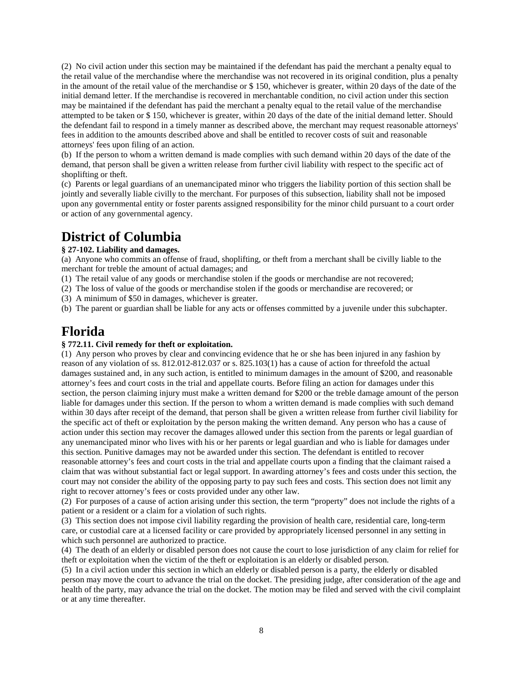(2) No civil action under this section may be maintained if the defendant has paid the merchant a penalty equal to the retail value of the merchandise where the merchandise was not recovered in its original condition, plus a penalty in the amount of the retail value of the merchandise or \$ 150, whichever is greater, within 20 days of the date of the initial demand letter. If the merchandise is recovered in merchantable condition, no civil action under this section may be maintained if the defendant has paid the merchant a penalty equal to the retail value of the merchandise attempted to be taken or \$ 150, whichever is greater, within 20 days of the date of the initial demand letter. Should the defendant fail to respond in a timely manner as described above, the merchant may request reasonable attorneys' fees in addition to the amounts described above and shall be entitled to recover costs of suit and reasonable attorneys' fees upon filing of an action.

(b) If the person to whom a written demand is made complies with such demand within 20 days of the date of the demand, that person shall be given a written release from further civil liability with respect to the specific act of shoplifting or theft.

(c) Parents or legal guardians of an unemancipated minor who triggers the liability portion of this section shall be jointly and severally liable civilly to the merchant. For purposes of this subsection, liability shall not be imposed upon any governmental entity or foster parents assigned responsibility for the minor child pursuant to a court order or action of any governmental agency.

## **District of Columbia**

#### **§ 27-102. Liability and damages.**

(a) Anyone who commits an offense of fraud, shoplifting, or theft from a merchant shall be civilly liable to the merchant for treble the amount of actual damages; and

- (1) The retail value of any goods or merchandise stolen if the goods or merchandise are not recovered;
- (2) The loss of value of the goods or merchandise stolen if the goods or merchandise are recovered; or
- (3) A minimum of \$50 in damages, whichever is greater.
- (b) The parent or guardian shall be liable for any acts or offenses committed by a juvenile under this subchapter.

## **Florida**

#### **§ 772.11. Civil remedy for theft or exploitation.**

(1) Any person who proves by clear and convincing evidence that he or she has been injured in any fashion by reason of any violation of ss. 812.012-812.037 or s. 825.103(1) has a cause of action for threefold the actual damages sustained and, in any such action, is entitled to minimum damages in the amount of \$200, and reasonable attorney's fees and court costs in the trial and appellate courts. Before filing an action for damages under this section, the person claiming injury must make a written demand for \$200 or the treble damage amount of the person liable for damages under this section. If the person to whom a written demand is made complies with such demand within 30 days after receipt of the demand, that person shall be given a written release from further civil liability for the specific act of theft or exploitation by the person making the written demand. Any person who has a cause of action under this section may recover the damages allowed under this section from the parents or legal guardian of any unemancipated minor who lives with his or her parents or legal guardian and who is liable for damages under this section. Punitive damages may not be awarded under this section. The defendant is entitled to recover reasonable attorney's fees and court costs in the trial and appellate courts upon a finding that the claimant raised a claim that was without substantial fact or legal support. In awarding attorney's fees and costs under this section, the court may not consider the ability of the opposing party to pay such fees and costs. This section does not limit any right to recover attorney's fees or costs provided under any other law.

(2) For purposes of a cause of action arising under this section, the term "property" does not include the rights of a patient or a resident or a claim for a violation of such rights.

(3) This section does not impose civil liability regarding the provision of health care, residential care, long-term care, or custodial care at a licensed facility or care provided by appropriately licensed personnel in any setting in which such personnel are authorized to practice.

(4) The death of an elderly or disabled person does not cause the court to lose jurisdiction of any claim for relief for theft or exploitation when the victim of the theft or exploitation is an elderly or disabled person.

(5) In a civil action under this section in which an elderly or disabled person is a party, the elderly or disabled person may move the court to advance the trial on the docket. The presiding judge, after consideration of the age and health of the party, may advance the trial on the docket. The motion may be filed and served with the civil complaint or at any time thereafter.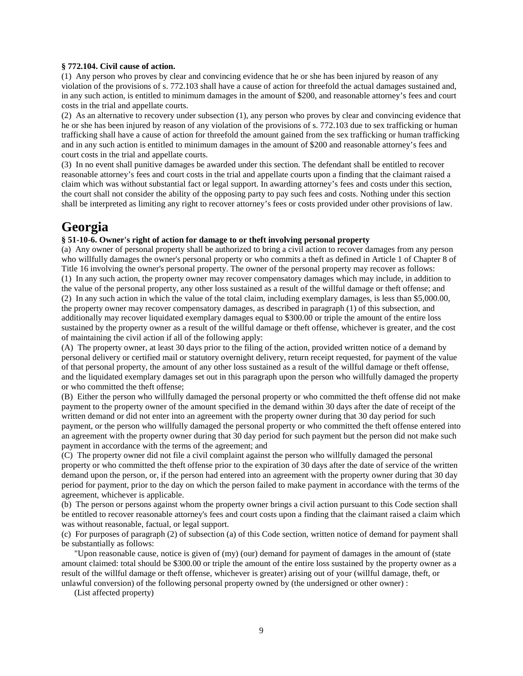#### **§ 772.104. Civil cause of action.**

(1) Any person who proves by clear and convincing evidence that he or she has been injured by reason of any violation of the provisions of s. 772.103 shall have a cause of action for threefold the actual damages sustained and, in any such action, is entitled to minimum damages in the amount of \$200, and reasonable attorney's fees and court costs in the trial and appellate courts.

(2) As an alternative to recovery under subsection (1), any person who proves by clear and convincing evidence that he or she has been injured by reason of any violation of the provisions of s. 772.103 due to sex trafficking or human trafficking shall have a cause of action for threefold the amount gained from the sex trafficking or human trafficking and in any such action is entitled to minimum damages in the amount of \$200 and reasonable attorney's fees and court costs in the trial and appellate courts.

(3) In no event shall punitive damages be awarded under this section. The defendant shall be entitled to recover reasonable attorney's fees and court costs in the trial and appellate courts upon a finding that the claimant raised a claim which was without substantial fact or legal support. In awarding attorney's fees and costs under this section, the court shall not consider the ability of the opposing party to pay such fees and costs. Nothing under this section shall be interpreted as limiting any right to recover attorney's fees or costs provided under other provisions of law.

### **Georgia**

#### **§ 51-10-6. Owner's right of action for damage to or theft involving personal property**

(a) Any owner of personal property shall be authorized to bring a civil action to recover damages from any person who willfully damages the owner's personal property or who commits a theft as defined in Article 1 of Chapter 8 of Title 16 involving the owner's personal property. The owner of the personal property may recover as follows: (1) In any such action, the property owner may recover compensatory damages which may include, in addition to the value of the personal property, any other loss sustained as a result of the willful damage or theft offense; and

(2) In any such action in which the value of the total claim, including exemplary damages, is less than \$5,000.00, the property owner may recover compensatory damages, as described in paragraph (1) of this subsection, and additionally may recover liquidated exemplary damages equal to \$300.00 or triple the amount of the entire loss sustained by the property owner as a result of the willful damage or theft offense, whichever is greater, and the cost of maintaining the civil action if all of the following apply:

(A) The property owner, at least 30 days prior to the filing of the action, provided written notice of a demand by personal delivery or certified mail or statutory overnight delivery, return receipt requested, for payment of the value of that personal property, the amount of any other loss sustained as a result of the willful damage or theft offense, and the liquidated exemplary damages set out in this paragraph upon the person who willfully damaged the property or who committed the theft offense;

(B) Either the person who willfully damaged the personal property or who committed the theft offense did not make payment to the property owner of the amount specified in the demand within 30 days after the date of receipt of the written demand or did not enter into an agreement with the property owner during that 30 day period for such payment, or the person who willfully damaged the personal property or who committed the theft offense entered into an agreement with the property owner during that 30 day period for such payment but the person did not make such payment in accordance with the terms of the agreement; and

(C) The property owner did not file a civil complaint against the person who willfully damaged the personal property or who committed the theft offense prior to the expiration of 30 days after the date of service of the written demand upon the person, or, if the person had entered into an agreement with the property owner during that 30 day period for payment, prior to the day on which the person failed to make payment in accordance with the terms of the agreement, whichever is applicable.

(b) The person or persons against whom the property owner brings a civil action pursuant to this Code section shall be entitled to recover reasonable attorney's fees and court costs upon a finding that the claimant raised a claim which was without reasonable, factual, or legal support.

(c) For purposes of paragraph (2) of subsection (a) of this Code section, written notice of demand for payment shall be substantially as follows:

 "Upon reasonable cause, notice is given of (my) (our) demand for payment of damages in the amount of (state amount claimed: total should be \$300.00 or triple the amount of the entire loss sustained by the property owner as a result of the willful damage or theft offense, whichever is greater) arising out of your (willful damage, theft, or unlawful conversion) of the following personal property owned by (the undersigned or other owner) :

(List affected property)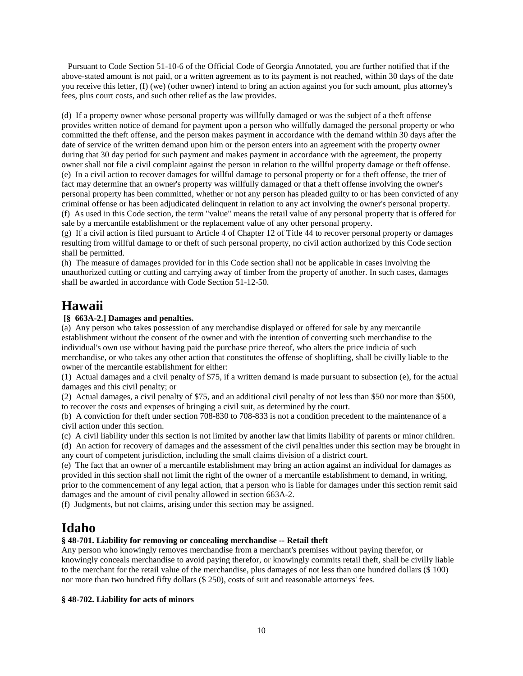Pursuant to Code Section 51-10-6 of the Official Code of Georgia Annotated, you are further notified that if the above-stated amount is not paid, or a written agreement as to its payment is not reached, within 30 days of the date you receive this letter, (I) (we) (other owner) intend to bring an action against you for such amount, plus attorney's fees, plus court costs, and such other relief as the law provides.

(d) If a property owner whose personal property was willfully damaged or was the subject of a theft offense provides written notice of demand for payment upon a person who willfully damaged the personal property or who committed the theft offense, and the person makes payment in accordance with the demand within 30 days after the date of service of the written demand upon him or the person enters into an agreement with the property owner during that 30 day period for such payment and makes payment in accordance with the agreement, the property owner shall not file a civil complaint against the person in relation to the willful property damage or theft offense. (e) In a civil action to recover damages for willful damage to personal property or for a theft offense, the trier of fact may determine that an owner's property was willfully damaged or that a theft offense involving the owner's personal property has been committed, whether or not any person has pleaded guilty to or has been convicted of any criminal offense or has been adjudicated delinquent in relation to any act involving the owner's personal property. (f) As used in this Code section, the term "value" means the retail value of any personal property that is offered for sale by a mercantile establishment or the replacement value of any other personal property.

(g) If a civil action is filed pursuant to Article 4 of Chapter 12 of Title 44 to recover personal property or damages resulting from willful damage to or theft of such personal property, no civil action authorized by this Code section shall be permitted.

(h) The measure of damages provided for in this Code section shall not be applicable in cases involving the unauthorized cutting or cutting and carrying away of timber from the property of another. In such cases, damages shall be awarded in accordance with Code Section 51-12-50.

## **Hawaii**

#### **[§ 663A-2.] Damages and penalties.**

(a) Any person who takes possession of any merchandise displayed or offered for sale by any mercantile establishment without the consent of the owner and with the intention of converting such merchandise to the individual's own use without having paid the purchase price thereof, who alters the price indicia of such merchandise, or who takes any other action that constitutes the offense of shoplifting, shall be civilly liable to the owner of the mercantile establishment for either:

(1) Actual damages and a civil penalty of \$75, if a written demand is made pursuant to subsection (e), for the actual damages and this civil penalty; or

(2) Actual damages, a civil penalty of \$75, and an additional civil penalty of not less than \$50 nor more than \$500, to recover the costs and expenses of bringing a civil suit, as determined by the court.

(b) A conviction for theft under section 708-830 to 708-833 is not a condition precedent to the maintenance of a civil action under this section.

(c) A civil liability under this section is not limited by another law that limits liability of parents or minor children.

(d) An action for recovery of damages and the assessment of the civil penalties under this section may be brought in any court of competent jurisdiction, including the small claims division of a district court.

(e) The fact that an owner of a mercantile establishment may bring an action against an individual for damages as provided in this section shall not limit the right of the owner of a mercantile establishment to demand, in writing, prior to the commencement of any legal action, that a person who is liable for damages under this section remit said damages and the amount of civil penalty allowed in section 663A-2.

(f) Judgments, but not claims, arising under this section may be assigned.

## **Idaho**

#### **§ 48-701. Liability for removing or concealing merchandise -- Retail theft**

Any person who knowingly removes merchandise from a merchant's premises without paying therefor, or knowingly conceals merchandise to avoid paying therefor, or knowingly commits retail theft, shall be civilly liable to the merchant for the retail value of the merchandise, plus damages of not less than one hundred dollars (\$ 100) nor more than two hundred fifty dollars (\$ 250), costs of suit and reasonable attorneys' fees.

#### **§ 48-702. Liability for acts of minors**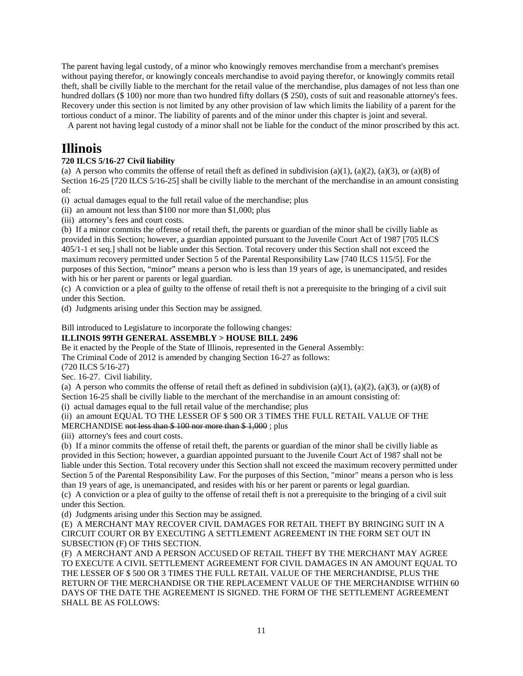The parent having legal custody, of a minor who knowingly removes merchandise from a merchant's premises without paying therefor, or knowingly conceals merchandise to avoid paying therefor, or knowingly commits retail theft, shall be civilly liable to the merchant for the retail value of the merchandise, plus damages of not less than one hundred dollars (\$ 100) nor more than two hundred fifty dollars (\$ 250), costs of suit and reasonable attorney's fees. Recovery under this section is not limited by any other provision of law which limits the liability of a parent for the tortious conduct of a minor. The liability of parents and of the minor under this chapter is joint and several.

A parent not having legal custody of a minor shall not be liable for the conduct of the minor proscribed by this act.

## **Illinois**

#### **720 ILCS 5/16-27 Civil liability**

(a) A person who commits the offense of retail theft as defined in subdivision (a)(1), (a)(2), (a)(3), or (a)(8) of Section 16-25 [720 ILCS 5/16-25] shall be civilly liable to the merchant of the merchandise in an amount consisting of:

(i) actual damages equal to the full retail value of the merchandise; plus

(ii) an amount not less than \$100 nor more than \$1,000; plus

(iii) attorney's fees and court costs.

(b) If a minor commits the offense of retail theft, the parents or guardian of the minor shall be civilly liable as provided in this Section; however, a guardian appointed pursuant to the Juvenile Court Act of 1987 [705 ILCS 405/1-1 et seq.] shall not be liable under this Section. Total recovery under this Section shall not exceed the maximum recovery permitted under Section 5 of the Parental Responsibility Law [740 ILCS 115/5]. For the purposes of this Section, "minor" means a person who is less than 19 years of age, is unemancipated, and resides with his or her parent or parents or legal guardian.

(c) A conviction or a plea of guilty to the offense of retail theft is not a prerequisite to the bringing of a civil suit under this Section.

(d) Judgments arising under this Section may be assigned.

#### Bill introduced to Legislature to incorporate the following changes:

#### **ILLINOIS 99TH GENERAL ASSEMBLY > HOUSE BILL 2496**

Be it enacted by the People of the State of Illinois, represented in the General Assembly:

The Criminal Code of 2012 is amended by changing Section 16-27 as follows:

(720 ILCS 5/16-27)

Sec. 16-27. Civil liability.

(a) A person who commits the offense of retail theft as defined in subdivision (a)(1), (a)(2), (a)(3), or (a)(8) of Section 16-25 shall be civilly liable to the merchant of the merchandise in an amount consisting of:

(i) actual damages equal to the full retail value of the merchandise; plus

(ii) an amount EQUAL TO THE LESSER OF \$ 500 OR 3 TIMES THE FULL RETAIL VALUE OF THE MERCHANDISE not less than \$ 100 nor more than \$ 1,000; plus

(iii) attorney's fees and court costs.

(b) If a minor commits the offense of retail theft, the parents or guardian of the minor shall be civilly liable as provided in this Section; however, a guardian appointed pursuant to the Juvenile Court Act of 1987 shall not be liable under this Section. Total recovery under this Section shall not exceed the maximum recovery permitted under Section 5 of the Parental Responsibility Law. For the purposes of this Section, "minor" means a person who is less than 19 years of age, is unemancipated, and resides with his or her parent or parents or legal guardian.

(c) A conviction or a plea of guilty to the offense of retail theft is not a prerequisite to the bringing of a civil suit under this Section.

(d) Judgments arising under this Section may be assigned.

(E) A MERCHANT MAY RECOVER CIVIL DAMAGES FOR RETAIL THEFT BY BRINGING SUIT IN A CIRCUIT COURT OR BY EXECUTING A SETTLEMENT AGREEMENT IN THE FORM SET OUT IN SUBSECTION (F) OF THIS SECTION.

(F) A MERCHANT AND A PERSON ACCUSED OF RETAIL THEFT BY THE MERCHANT MAY AGREE TO EXECUTE A CIVIL SETTLEMENT AGREEMENT FOR CIVIL DAMAGES IN AN AMOUNT EQUAL TO THE LESSER OF \$ 500 OR 3 TIMES THE FULL RETAIL VALUE OF THE MERCHANDISE, PLUS THE RETURN OF THE MERCHANDISE OR THE REPLACEMENT VALUE OF THE MERCHANDISE WITHIN 60 DAYS OF THE DATE THE AGREEMENT IS SIGNED. THE FORM OF THE SETTLEMENT AGREEMENT SHALL BE AS FOLLOWS: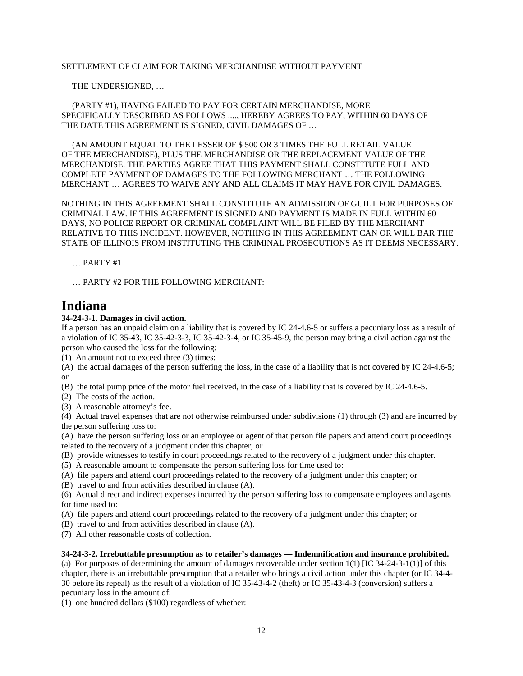#### SETTLEMENT OF CLAIM FOR TAKING MERCHANDISE WITHOUT PAYMENT

#### THE UNDERSIGNED, …

 (PARTY #1), HAVING FAILED TO PAY FOR CERTAIN MERCHANDISE, MORE SPECIFICALLY DESCRIBED AS FOLLOWS ...., HEREBY AGREES TO PAY, WITHIN 60 DAYS OF THE DATE THIS AGREEMENT IS SIGNED, CIVIL DAMAGES OF …

 (AN AMOUNT EQUAL TO THE LESSER OF \$ 500 OR 3 TIMES THE FULL RETAIL VALUE OF THE MERCHANDISE), PLUS THE MERCHANDISE OR THE REPLACEMENT VALUE OF THE MERCHANDISE. THE PARTIES AGREE THAT THIS PAYMENT SHALL CONSTITUTE FULL AND COMPLETE PAYMENT OF DAMAGES TO THE FOLLOWING MERCHANT … THE FOLLOWING MERCHANT … AGREES TO WAIVE ANY AND ALL CLAIMS IT MAY HAVE FOR CIVIL DAMAGES.

NOTHING IN THIS AGREEMENT SHALL CONSTITUTE AN ADMISSION OF GUILT FOR PURPOSES OF CRIMINAL LAW. IF THIS AGREEMENT IS SIGNED AND PAYMENT IS MADE IN FULL WITHIN 60 DAYS, NO POLICE REPORT OR CRIMINAL COMPLAINT WILL BE FILED BY THE MERCHANT RELATIVE TO THIS INCIDENT. HOWEVER, NOTHING IN THIS AGREEMENT CAN OR WILL BAR THE STATE OF ILLINOIS FROM INSTITUTING THE CRIMINAL PROSECUTIONS AS IT DEEMS NECESSARY.

… PARTY #1

… PARTY #2 FOR THE FOLLOWING MERCHANT:

### **Indiana**

#### **34-24-3-1. Damages in civil action.**

If a person has an unpaid claim on a liability that is covered by IC 24-4.6-5 or suffers a pecuniary loss as a result of a violation of IC 35-43, IC 35-42-3-3, IC 35-42-3-4, or IC 35-45-9, the person may bring a civil action against the person who caused the loss for the following:

(1) An amount not to exceed three (3) times:

(A) the actual damages of the person suffering the loss, in the case of a liability that is not covered by IC 24-4.6-5; or

(B) the total pump price of the motor fuel received, in the case of a liability that is covered by IC 24-4.6-5.

(2) The costs of the action.

(3) A reasonable attorney's fee.

(4) Actual travel expenses that are not otherwise reimbursed under subdivisions (1) through (3) and are incurred by the person suffering loss to:

(A) have the person suffering loss or an employee or agent of that person file papers and attend court proceedings related to the recovery of a judgment under this chapter; or

(B) provide witnesses to testify in court proceedings related to the recovery of a judgment under this chapter.

(5) A reasonable amount to compensate the person suffering loss for time used to:

(A) file papers and attend court proceedings related to the recovery of a judgment under this chapter; or

(B) travel to and from activities described in clause (A).

(6) Actual direct and indirect expenses incurred by the person suffering loss to compensate employees and agents for time used to:

(A) file papers and attend court proceedings related to the recovery of a judgment under this chapter; or

(B) travel to and from activities described in clause (A).

(7) All other reasonable costs of collection.

#### **34-24-3-2. Irrebuttable presumption as to retailer's damages — Indemnification and insurance prohibited.**

(a) For purposes of determining the amount of damages recoverable under section 1(1) [IC 34-24-3-1(1)] of this chapter, there is an irrebuttable presumption that a retailer who brings a civil action under this chapter (or IC 34-4- 30 before its repeal) as the result of a violation of IC 35-43-4-2 (theft) or IC 35-43-4-3 (conversion) suffers a pecuniary loss in the amount of:

(1) one hundred dollars (\$100) regardless of whether: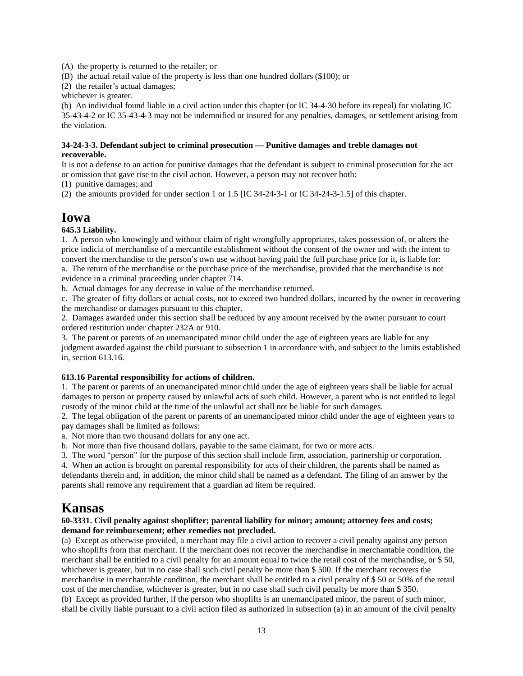- (A) the property is returned to the retailer; or
- (B) the actual retail value of the property is less than one hundred dollars (\$100); or
- (2) the retailer's actual damages;

whichever is greater.

(b) An individual found liable in a civil action under this chapter (or IC 34-4-30 before its repeal) for violating IC 35-43-4-2 or IC 35-43-4-3 may not be indemnified or insured for any penalties, damages, or settlement arising from the violation.

#### **34-24-3-3. Defendant subject to criminal prosecution — Punitive damages and treble damages not recoverable.**

It is not a defense to an action for punitive damages that the defendant is subject to criminal prosecution for the act or omission that gave rise to the civil action. However, a person may not recover both:

(1) punitive damages; and

(2) the amounts provided for under section 1 or 1.5 [IC 34-24-3-1 or IC 34-24-3-1.5] of this chapter.

## **Iowa**

#### **645.3 Liability.**

1. A person who knowingly and without claim of right wrongfully appropriates, takes possession of, or alters the price indicia of merchandise of a mercantile establishment without the consent of the owner and with the intent to convert the merchandise to the person's own use without having paid the full purchase price for it, is liable for:

a. The return of the merchandise or the purchase price of the merchandise, provided that the merchandise is not evidence in a criminal proceeding under chapter 714.

b. Actual damages for any decrease in value of the merchandise returned.

c. The greater of fifty dollars or actual costs, not to exceed two hundred dollars, incurred by the owner in recovering the merchandise or damages pursuant to this chapter.

2. Damages awarded under this section shall be reduced by any amount received by the owner pursuant to court ordered restitution under chapter 232A or 910.

3. The parent or parents of an unemancipated minor child under the age of eighteen years are liable for any judgment awarded against the child pursuant to subsection 1 in accordance with, and subject to the limits established in, section 613.16.

#### **613.16 Parental responsibility for actions of children.**

1. The parent or parents of an unemancipated minor child under the age of eighteen years shall be liable for actual damages to person or property caused by unlawful acts of such child. However, a parent who is not entitled to legal custody of the minor child at the time of the unlawful act shall not be liable for such damages.

2. The legal obligation of the parent or parents of an unemancipated minor child under the age of eighteen years to pay damages shall be limited as follows:

a. Not more than two thousand dollars for any one act.

b. Not more than five thousand dollars, payable to the same claimant, for two or more acts.

3. The word "person" for the purpose of this section shall include firm, association, partnership or corporation.

4. When an action is brought on parental responsibility for acts of their children, the parents shall be named as defendants therein and, in addition, the minor child shall be named as a defendant. The filing of an answer by the parents shall remove any requirement that a guardian ad litem be required.

### **Kansas**

#### **60-3331. Civil penalty against shoplifter; parental liability for minor; amount; attorney fees and costs; demand for reimbursement; other remedies not precluded.**

(a) Except as otherwise provided, a merchant may file a civil action to recover a civil penalty against any person who shoplifts from that merchant. If the merchant does not recover the merchandise in merchantable condition, the merchant shall be entitled to a civil penalty for an amount equal to twice the retail cost of the merchandise, or \$ 50, whichever is greater, but in no case shall such civil penalty be more than \$500. If the merchant recovers the merchandise in merchantable condition, the merchant shall be entitled to a civil penalty of \$ 50 or 50% of the retail cost of the merchandise, whichever is greater, but in no case shall such civil penalty be more than \$ 350. (b) Except as provided further, if the person who shoplifts is an unemancipated minor, the parent of such minor, shall be civilly liable pursuant to a civil action filed as authorized in subsection (a) in an amount of the civil penalty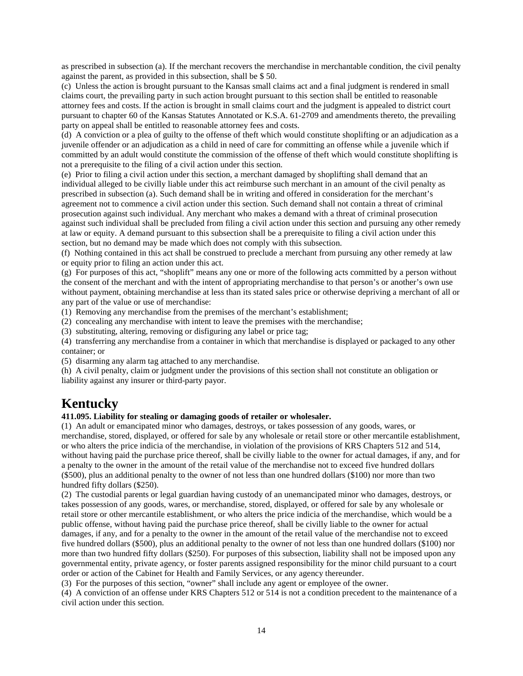as prescribed in subsection (a). If the merchant recovers the merchandise in merchantable condition, the civil penalty against the parent, as provided in this subsection, shall be \$ 50.

(c) Unless the action is brought pursuant to the Kansas small claims act and a final judgment is rendered in small claims court, the prevailing party in such action brought pursuant to this section shall be entitled to reasonable attorney fees and costs. If the action is brought in small claims court and the judgment is appealed to district court pursuant to chapter 60 of the Kansas Statutes Annotated or K.S.A. 61-2709 and amendments thereto, the prevailing party on appeal shall be entitled to reasonable attorney fees and costs.

(d) A conviction or a plea of guilty to the offense of theft which would constitute shoplifting or an adjudication as a juvenile offender or an adjudication as a child in need of care for committing an offense while a juvenile which if committed by an adult would constitute the commission of the offense of theft which would constitute shoplifting is not a prerequisite to the filing of a civil action under this section.

(e) Prior to filing a civil action under this section, a merchant damaged by shoplifting shall demand that an individual alleged to be civilly liable under this act reimburse such merchant in an amount of the civil penalty as prescribed in subsection (a). Such demand shall be in writing and offered in consideration for the merchant's agreement not to commence a civil action under this section. Such demand shall not contain a threat of criminal prosecution against such individual. Any merchant who makes a demand with a threat of criminal prosecution against such individual shall be precluded from filing a civil action under this section and pursuing any other remedy at law or equity. A demand pursuant to this subsection shall be a prerequisite to filing a civil action under this section, but no demand may be made which does not comply with this subsection.

(f) Nothing contained in this act shall be construed to preclude a merchant from pursuing any other remedy at law or equity prior to filing an action under this act.

(g) For purposes of this act, "shoplift" means any one or more of the following acts committed by a person without the consent of the merchant and with the intent of appropriating merchandise to that person's or another's own use without payment, obtaining merchandise at less than its stated sales price or otherwise depriving a merchant of all or any part of the value or use of merchandise:

(1) Removing any merchandise from the premises of the merchant's establishment;

(2) concealing any merchandise with intent to leave the premises with the merchandise;

(3) substituting, altering, removing or disfiguring any label or price tag;

(4) transferring any merchandise from a container in which that merchandise is displayed or packaged to any other container; or

(5) disarming any alarm tag attached to any merchandise.

(h) A civil penalty, claim or judgment under the provisions of this section shall not constitute an obligation or liability against any insurer or third-party payor.

## **Kentucky**

#### **411.095. Liability for stealing or damaging goods of retailer or wholesaler.**

(1) An adult or emancipated minor who damages, destroys, or takes possession of any goods, wares, or merchandise, stored, displayed, or offered for sale by any wholesale or retail store or other mercantile establishment, or who alters the price indicia of the merchandise, in violation of the provisions of KRS Chapters 512 and 514, without having paid the purchase price thereof, shall be civilly liable to the owner for actual damages, if any, and for a penalty to the owner in the amount of the retail value of the merchandise not to exceed five hundred dollars (\$500), plus an additional penalty to the owner of not less than one hundred dollars (\$100) nor more than two hundred fifty dollars (\$250).

(2) The custodial parents or legal guardian having custody of an unemancipated minor who damages, destroys, or takes possession of any goods, wares, or merchandise, stored, displayed, or offered for sale by any wholesale or retail store or other mercantile establishment, or who alters the price indicia of the merchandise, which would be a public offense, without having paid the purchase price thereof, shall be civilly liable to the owner for actual damages, if any, and for a penalty to the owner in the amount of the retail value of the merchandise not to exceed five hundred dollars (\$500), plus an additional penalty to the owner of not less than one hundred dollars (\$100) nor more than two hundred fifty dollars (\$250). For purposes of this subsection, liability shall not be imposed upon any governmental entity, private agency, or foster parents assigned responsibility for the minor child pursuant to a court order or action of the Cabinet for Health and Family Services, or any agency thereunder.

(3) For the purposes of this section, "owner" shall include any agent or employee of the owner.

(4) A conviction of an offense under KRS Chapters 512 or 514 is not a condition precedent to the maintenance of a civil action under this section.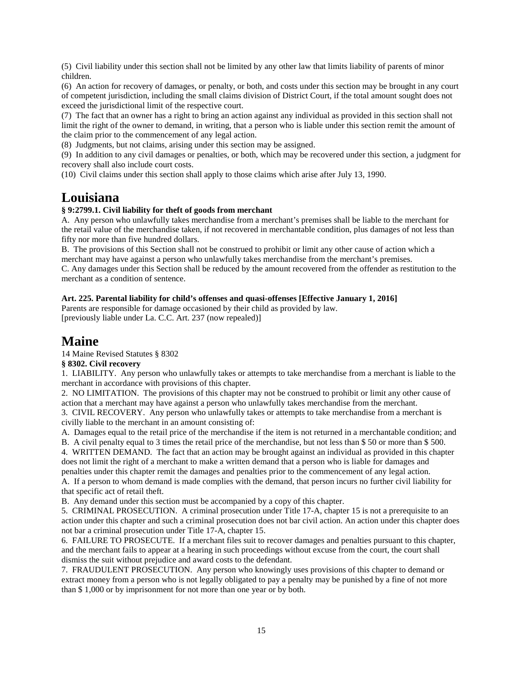(5) Civil liability under this section shall not be limited by any other law that limits liability of parents of minor children.

(6) An action for recovery of damages, or penalty, or both, and costs under this section may be brought in any court of competent jurisdiction, including the small claims division of District Court, if the total amount sought does not exceed the jurisdictional limit of the respective court.

(7) The fact that an owner has a right to bring an action against any individual as provided in this section shall not limit the right of the owner to demand, in writing, that a person who is liable under this section remit the amount of the claim prior to the commencement of any legal action.

(8) Judgments, but not claims, arising under this section may be assigned.

(9) In addition to any civil damages or penalties, or both, which may be recovered under this section, a judgment for recovery shall also include court costs.

(10) Civil claims under this section shall apply to those claims which arise after July 13, 1990.

### **Louisiana**

#### **§ 9:2799.1. Civil liability for theft of goods from merchant**

A. Any person who unlawfully takes merchandise from a merchant's premises shall be liable to the merchant for the retail value of the merchandise taken, if not recovered in merchantable condition, plus damages of not less than fifty nor more than five hundred dollars.

B. The provisions of this Section shall not be construed to prohibit or limit any other cause of action which a merchant may have against a person who unlawfully takes merchandise from the merchant's premises.

C. Any damages under this Section shall be reduced by the amount recovered from the offender as restitution to the merchant as a condition of sentence.

#### **Art. 225. Parental liability for child's offenses and quasi-offenses [Effective January 1, 2016]**

Parents are responsible for damage occasioned by their child as provided by law. [previously liable under La. C.C. Art. 237 (now repealed)]

### **Maine**

14 Maine Revised Statutes § 8302

#### **§ 8302. Civil recovery**

1. LIABILITY. Any person who unlawfully takes or attempts to take merchandise from a merchant is liable to the merchant in accordance with provisions of this chapter.

2. NO LIMITATION. The provisions of this chapter may not be construed to prohibit or limit any other cause of action that a merchant may have against a person who unlawfully takes merchandise from the merchant.

3. CIVIL RECOVERY. Any person who unlawfully takes or attempts to take merchandise from a merchant is civilly liable to the merchant in an amount consisting of:

A. Damages equal to the retail price of the merchandise if the item is not returned in a merchantable condition; and

B. A civil penalty equal to 3 times the retail price of the merchandise, but not less than \$ 50 or more than \$ 500.

4. WRITTEN DEMAND. The fact that an action may be brought against an individual as provided in this chapter does not limit the right of a merchant to make a written demand that a person who is liable for damages and penalties under this chapter remit the damages and penalties prior to the commencement of any legal action.

A. If a person to whom demand is made complies with the demand, that person incurs no further civil liability for that specific act of retail theft.

B. Any demand under this section must be accompanied by a copy of this chapter.

5. CRIMINAL PROSECUTION. A criminal prosecution under Title 17-A, chapter 15 is not a prerequisite to an action under this chapter and such a criminal prosecution does not bar civil action. An action under this chapter does not bar a criminal prosecution under Title 17-A, chapter 15.

6. FAILURE TO PROSECUTE. If a merchant files suit to recover damages and penalties pursuant to this chapter, and the merchant fails to appear at a hearing in such proceedings without excuse from the court, the court shall dismiss the suit without prejudice and award costs to the defendant.

7. FRAUDULENT PROSECUTION. Any person who knowingly uses provisions of this chapter to demand or extract money from a person who is not legally obligated to pay a penalty may be punished by a fine of not more than \$ 1,000 or by imprisonment for not more than one year or by both.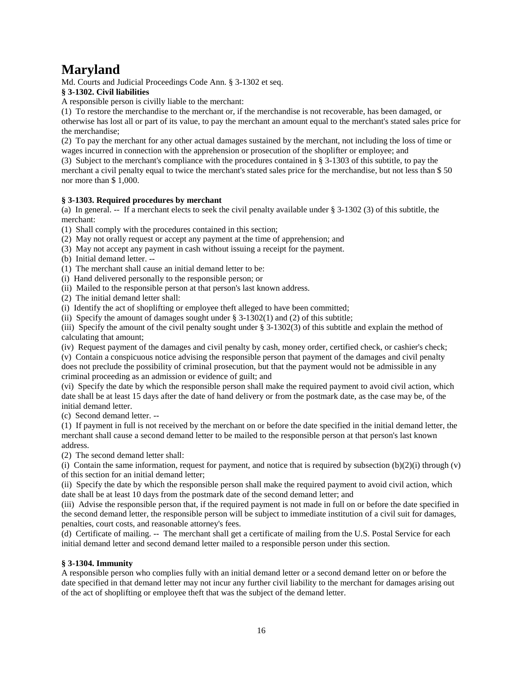## **Maryland**

Md. Courts and Judicial Proceedings Code Ann. § 3-1302 et seq.

#### **§ 3-1302. Civil liabilities**

A responsible person is civilly liable to the merchant:

(1) To restore the merchandise to the merchant or, if the merchandise is not recoverable, has been damaged, or otherwise has lost all or part of its value, to pay the merchant an amount equal to the merchant's stated sales price for the merchandise;

(2) To pay the merchant for any other actual damages sustained by the merchant, not including the loss of time or wages incurred in connection with the apprehension or prosecution of the shoplifter or employee; and

(3) Subject to the merchant's compliance with the procedures contained in § 3-1303 of this subtitle, to pay the merchant a civil penalty equal to twice the merchant's stated sales price for the merchandise, but not less than \$ 50 nor more than \$ 1,000.

#### **§ 3-1303. Required procedures by merchant**

(a) In general. -- If a merchant elects to seek the civil penalty available under § 3-1302 (3) of this subtitle, the merchant:

(1) Shall comply with the procedures contained in this section;

- (2) May not orally request or accept any payment at the time of apprehension; and
- (3) May not accept any payment in cash without issuing a receipt for the payment.
- (b) Initial demand letter. --
- (1) The merchant shall cause an initial demand letter to be:
- (i) Hand delivered personally to the responsible person; or
- (ii) Mailed to the responsible person at that person's last known address.
- (2) The initial demand letter shall:

(i) Identify the act of shoplifting or employee theft alleged to have been committed;

(ii) Specify the amount of damages sought under  $\S$  3-1302(1) and (2) of this subtitle;

(iii) Specify the amount of the civil penalty sought under § 3-1302(3) of this subtitle and explain the method of calculating that amount;

(iv) Request payment of the damages and civil penalty by cash, money order, certified check, or cashier's check; (v) Contain a conspicuous notice advising the responsible person that payment of the damages and civil penalty does not preclude the possibility of criminal prosecution, but that the payment would not be admissible in any criminal proceeding as an admission or evidence of guilt; and

(vi) Specify the date by which the responsible person shall make the required payment to avoid civil action, which date shall be at least 15 days after the date of hand delivery or from the postmark date, as the case may be, of the initial demand letter.

(c) Second demand letter. --

(1) If payment in full is not received by the merchant on or before the date specified in the initial demand letter, the merchant shall cause a second demand letter to be mailed to the responsible person at that person's last known address.

(2) The second demand letter shall:

(i) Contain the same information, request for payment, and notice that is required by subsection  $(b)(2)(i)$  through  $(v)$ of this section for an initial demand letter;

(ii) Specify the date by which the responsible person shall make the required payment to avoid civil action, which date shall be at least 10 days from the postmark date of the second demand letter; and

(iii) Advise the responsible person that, if the required payment is not made in full on or before the date specified in the second demand letter, the responsible person will be subject to immediate institution of a civil suit for damages, penalties, court costs, and reasonable attorney's fees.

(d) Certificate of mailing. -- The merchant shall get a certificate of mailing from the U.S. Postal Service for each initial demand letter and second demand letter mailed to a responsible person under this section.

#### **§ 3-1304. Immunity**

A responsible person who complies fully with an initial demand letter or a second demand letter on or before the date specified in that demand letter may not incur any further civil liability to the merchant for damages arising out of the act of shoplifting or employee theft that was the subject of the demand letter.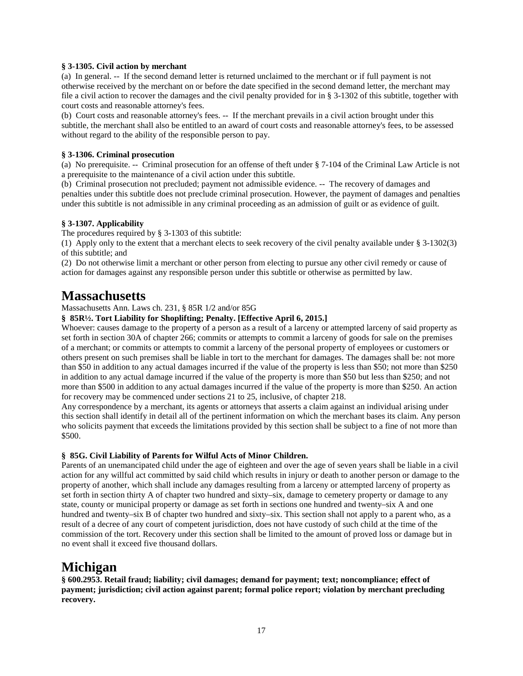#### **§ 3-1305. Civil action by merchant**

(a) In general. -- If the second demand letter is returned unclaimed to the merchant or if full payment is not otherwise received by the merchant on or before the date specified in the second demand letter, the merchant may file a civil action to recover the damages and the civil penalty provided for in § 3-1302 of this subtitle, together with court costs and reasonable attorney's fees.

(b) Court costs and reasonable attorney's fees. -- If the merchant prevails in a civil action brought under this subtitle, the merchant shall also be entitled to an award of court costs and reasonable attorney's fees, to be assessed without regard to the ability of the responsible person to pay.

#### **§ 3-1306. Criminal prosecution**

(a) No prerequisite. -- Criminal prosecution for an offense of theft under § 7-104 of the Criminal Law Article is not a prerequisite to the maintenance of a civil action under this subtitle.

(b) Criminal prosecution not precluded; payment not admissible evidence. -- The recovery of damages and penalties under this subtitle does not preclude criminal prosecution. However, the payment of damages and penalties under this subtitle is not admissible in any criminal proceeding as an admission of guilt or as evidence of guilt.

#### **§ 3-1307. Applicability**

The procedures required by § 3-1303 of this subtitle:

(1) Apply only to the extent that a merchant elects to seek recovery of the civil penalty available under § 3-1302(3) of this subtitle; and

(2) Do not otherwise limit a merchant or other person from electing to pursue any other civil remedy or cause of action for damages against any responsible person under this subtitle or otherwise as permitted by law.

### **Massachusetts**

Massachusetts Ann. Laws ch. 231, § 85R 1/2 and/or 85G

**§ 85R½. Tort Liability for Shoplifting; Penalty. [Effective April 6, 2015.]**

Whoever: causes damage to the property of a person as a result of a larceny or attempted larceny of said property as set forth in section 30A of chapter 266; commits or attempts to commit a larceny of goods for sale on the premises of a merchant; or commits or attempts to commit a larceny of the personal property of employees or customers or others present on such premises shall be liable in tort to the merchant for damages. The damages shall be: not more than \$50 in addition to any actual damages incurred if the value of the property is less than \$50; not more than \$250 in addition to any actual damage incurred if the value of the property is more than \$50 but less than \$250; and not more than \$500 in addition to any actual damages incurred if the value of the property is more than \$250. An action for recovery may be commenced under sections 21 to 25, inclusive, of chapter 218.

Any correspondence by a merchant, its agents or attorneys that asserts a claim against an individual arising under this section shall identify in detail all of the pertinent information on which the merchant bases its claim. Any person who solicits payment that exceeds the limitations provided by this section shall be subject to a fine of not more than \$500.

#### **§ 85G. Civil Liability of Parents for Wilful Acts of Minor Children.**

Parents of an unemancipated child under the age of eighteen and over the age of seven years shall be liable in a civil action for any willful act committed by said child which results in injury or death to another person or damage to the property of another, which shall include any damages resulting from a larceny or attempted larceny of property as set forth in section thirty A of chapter two hundred and sixty–six, damage to cemetery property or damage to any state, county or municipal property or damage as set forth in sections one hundred and twenty–six A and one hundred and twenty–six B of chapter two hundred and sixty–six. This section shall not apply to a parent who, as a result of a decree of any court of competent jurisdiction, does not have custody of such child at the time of the commission of the tort. Recovery under this section shall be limited to the amount of proved loss or damage but in no event shall it exceed five thousand dollars.

### **Michigan**

**§ 600.2953. Retail fraud; liability; civil damages; demand for payment; text; noncompliance; effect of payment; jurisdiction; civil action against parent; formal police report; violation by merchant precluding recovery.**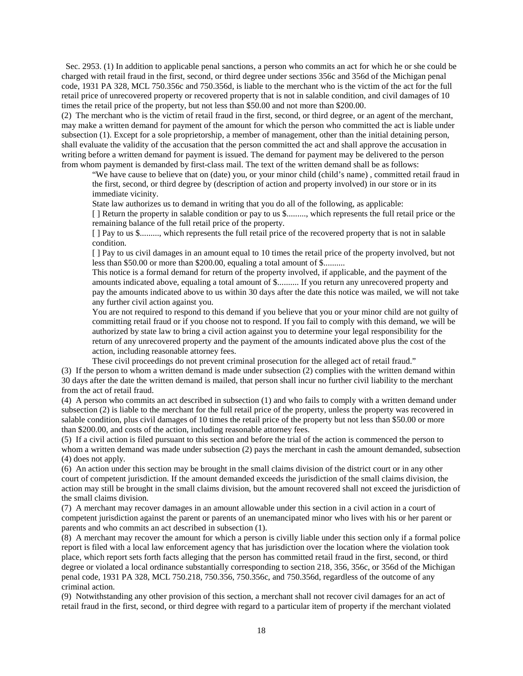Sec. 2953. (1) In addition to applicable penal sanctions, a person who commits an act for which he or she could be charged with retail fraud in the first, second, or third degree under sections 356c and 356d of the Michigan penal code, 1931 PA 328, MCL 750.356c and 750.356d, is liable to the merchant who is the victim of the act for the full retail price of unrecovered property or recovered property that is not in salable condition, and civil damages of 10 times the retail price of the property, but not less than \$50.00 and not more than \$200.00.

(2) The merchant who is the victim of retail fraud in the first, second, or third degree, or an agent of the merchant, may make a written demand for payment of the amount for which the person who committed the act is liable under subsection (1). Except for a sole proprietorship, a member of management, other than the initial detaining person, shall evaluate the validity of the accusation that the person committed the act and shall approve the accusation in writing before a written demand for payment is issued. The demand for payment may be delivered to the person from whom payment is demanded by first-class mail. The text of the written demand shall be as follows:

"We have cause to believe that on (date) you, or your minor child (child's name) , committed retail fraud in the first, second, or third degree by (description of action and property involved) in our store or in its immediate vicinity.

State law authorizes us to demand in writing that you do all of the following, as applicable:

[ ] Return the property in salable condition or pay to us \$........., which represents the full retail price or the remaining balance of the full retail price of the property.

[ ] Pay to us \$........., which represents the full retail price of the recovered property that is not in salable condition.

[ ] Pay to us civil damages in an amount equal to 10 times the retail price of the property involved, but not less than \$50.00 or more than \$200.00, equaling a total amount of \$..........

This notice is a formal demand for return of the property involved, if applicable, and the payment of the amounts indicated above, equaling a total amount of \$.......... If you return any unrecovered property and pay the amounts indicated above to us within 30 days after the date this notice was mailed, we will not take any further civil action against you.

You are not required to respond to this demand if you believe that you or your minor child are not guilty of committing retail fraud or if you choose not to respond. If you fail to comply with this demand, we will be authorized by state law to bring a civil action against you to determine your legal responsibility for the return of any unrecovered property and the payment of the amounts indicated above plus the cost of the action, including reasonable attorney fees.

These civil proceedings do not prevent criminal prosecution for the alleged act of retail fraud."

(3) If the person to whom a written demand is made under subsection (2) complies with the written demand within 30 days after the date the written demand is mailed, that person shall incur no further civil liability to the merchant from the act of retail fraud.

(4) A person who commits an act described in subsection (1) and who fails to comply with a written demand under subsection (2) is liable to the merchant for the full retail price of the property, unless the property was recovered in salable condition, plus civil damages of 10 times the retail price of the property but not less than \$50.00 or more than \$200.00, and costs of the action, including reasonable attorney fees.

(5) If a civil action is filed pursuant to this section and before the trial of the action is commenced the person to whom a written demand was made under subsection (2) pays the merchant in cash the amount demanded, subsection (4) does not apply.

(6) An action under this section may be brought in the small claims division of the district court or in any other court of competent jurisdiction. If the amount demanded exceeds the jurisdiction of the small claims division, the action may still be brought in the small claims division, but the amount recovered shall not exceed the jurisdiction of the small claims division.

(7) A merchant may recover damages in an amount allowable under this section in a civil action in a court of competent jurisdiction against the parent or parents of an unemancipated minor who lives with his or her parent or parents and who commits an act described in subsection (1).

(8) A merchant may recover the amount for which a person is civilly liable under this section only if a formal police report is filed with a local law enforcement agency that has jurisdiction over the location where the violation took place, which report sets forth facts alleging that the person has committed retail fraud in the first, second, or third degree or violated a local ordinance substantially corresponding to section 218, 356, 356c, or 356d of the Michigan penal code, 1931 PA 328, MCL 750.218, 750.356, 750.356c, and 750.356d, regardless of the outcome of any criminal action.

(9) Notwithstanding any other provision of this section, a merchant shall not recover civil damages for an act of retail fraud in the first, second, or third degree with regard to a particular item of property if the merchant violated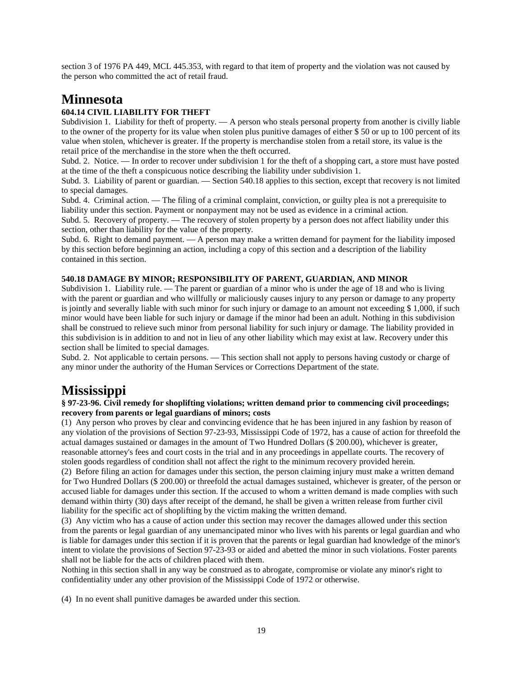section 3 of 1976 PA 449, MCL 445.353, with regard to that item of property and the violation was not caused by the person who committed the act of retail fraud.

### **Minnesota**

#### **604.14 CIVIL LIABILITY FOR THEFT**

Subdivision 1. Liability for theft of property. — A person who steals personal property from another is civilly liable to the owner of the property for its value when stolen plus punitive damages of either \$ 50 or up to 100 percent of its value when stolen, whichever is greater. If the property is merchandise stolen from a retail store, its value is the retail price of the merchandise in the store when the theft occurred.

Subd. 2. Notice. — In order to recover under subdivision 1 for the theft of a shopping cart, a store must have posted at the time of the theft a conspicuous notice describing the liability under subdivision 1.

Subd. 3. Liability of parent or guardian. — Section 540.18 applies to this section, except that recovery is not limited to special damages.

Subd. 4. Criminal action. — The filing of a criminal complaint, conviction, or guilty plea is not a prerequisite to liability under this section. Payment or nonpayment may not be used as evidence in a criminal action.

Subd. 5. Recovery of property. — The recovery of stolen property by a person does not affect liability under this section, other than liability for the value of the property.

Subd. 6. Right to demand payment. — A person may make a written demand for payment for the liability imposed by this section before beginning an action, including a copy of this section and a description of the liability contained in this section.

#### **540.18 DAMAGE BY MINOR; RESPONSIBILITY OF PARENT, GUARDIAN, AND MINOR**

Subdivision 1. Liability rule. — The parent or guardian of a minor who is under the age of 18 and who is living with the parent or guardian and who willfully or maliciously causes injury to any person or damage to any property is jointly and severally liable with such minor for such injury or damage to an amount not exceeding \$ 1,000, if such minor would have been liable for such injury or damage if the minor had been an adult. Nothing in this subdivision shall be construed to relieve such minor from personal liability for such injury or damage. The liability provided in this subdivision is in addition to and not in lieu of any other liability which may exist at law. Recovery under this section shall be limited to special damages.

Subd. 2. Not applicable to certain persons. — This section shall not apply to persons having custody or charge of any minor under the authority of the Human Services or Corrections Department of the state.

### **Mississippi**

#### **§ 97-23-96. Civil remedy for shoplifting violations; written demand prior to commencing civil proceedings; recovery from parents or legal guardians of minors; costs**

(1) Any person who proves by clear and convincing evidence that he has been injured in any fashion by reason of any violation of the provisions of Section 97-23-93, Mississippi Code of 1972, has a cause of action for threefold the actual damages sustained or damages in the amount of Two Hundred Dollars (\$ 200.00), whichever is greater, reasonable attorney's fees and court costs in the trial and in any proceedings in appellate courts. The recovery of stolen goods regardless of condition shall not affect the right to the minimum recovery provided herein.

(2) Before filing an action for damages under this section, the person claiming injury must make a written demand for Two Hundred Dollars (\$ 200.00) or threefold the actual damages sustained, whichever is greater, of the person or accused liable for damages under this section. If the accused to whom a written demand is made complies with such demand within thirty (30) days after receipt of the demand, he shall be given a written release from further civil liability for the specific act of shoplifting by the victim making the written demand.

(3) Any victim who has a cause of action under this section may recover the damages allowed under this section from the parents or legal guardian of any unemancipated minor who lives with his parents or legal guardian and who is liable for damages under this section if it is proven that the parents or legal guardian had knowledge of the minor's intent to violate the provisions of Section 97-23-93 or aided and abetted the minor in such violations. Foster parents shall not be liable for the acts of children placed with them.

Nothing in this section shall in any way be construed as to abrogate, compromise or violate any minor's right to confidentiality under any other provision of the Mississippi Code of 1972 or otherwise.

(4) In no event shall punitive damages be awarded under this section.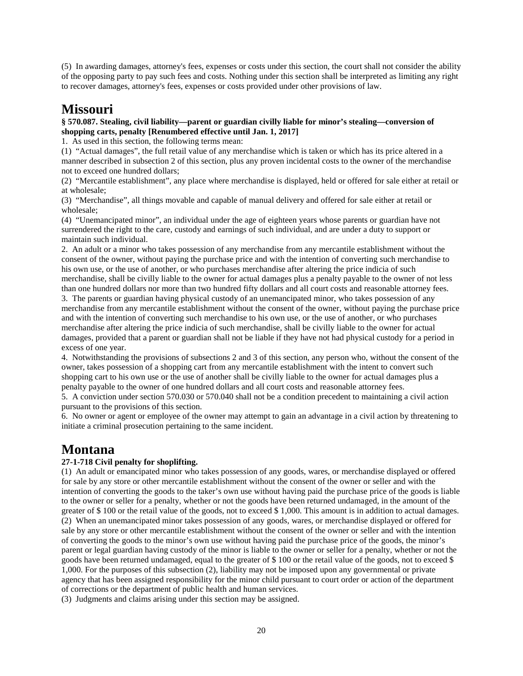(5) In awarding damages, attorney's fees, expenses or costs under this section, the court shall not consider the ability of the opposing party to pay such fees and costs. Nothing under this section shall be interpreted as limiting any right to recover damages, attorney's fees, expenses or costs provided under other provisions of law.

## **Missouri**

#### **§ 570.087. Stealing, civil liability—parent or guardian civilly liable for minor's stealing—conversion of shopping carts, penalty [Renumbered effective until Jan. 1, 2017]**

1. As used in this section, the following terms mean:

(1) "Actual damages", the full retail value of any merchandise which is taken or which has its price altered in a manner described in subsection 2 of this section, plus any proven incidental costs to the owner of the merchandise not to exceed one hundred dollars;

(2) "Mercantile establishment", any place where merchandise is displayed, held or offered for sale either at retail or at wholesale;

(3) "Merchandise", all things movable and capable of manual delivery and offered for sale either at retail or wholesale;

(4) "Unemancipated minor", an individual under the age of eighteen years whose parents or guardian have not surrendered the right to the care, custody and earnings of such individual, and are under a duty to support or maintain such individual.

2. An adult or a minor who takes possession of any merchandise from any mercantile establishment without the consent of the owner, without paying the purchase price and with the intention of converting such merchandise to his own use, or the use of another, or who purchases merchandise after altering the price indicia of such merchandise, shall be civilly liable to the owner for actual damages plus a penalty payable to the owner of not less than one hundred dollars nor more than two hundred fifty dollars and all court costs and reasonable attorney fees.

3. The parents or guardian having physical custody of an unemancipated minor, who takes possession of any merchandise from any mercantile establishment without the consent of the owner, without paying the purchase price and with the intention of converting such merchandise to his own use, or the use of another, or who purchases merchandise after altering the price indicia of such merchandise, shall be civilly liable to the owner for actual damages, provided that a parent or guardian shall not be liable if they have not had physical custody for a period in excess of one year.

4. Notwithstanding the provisions of subsections 2 and 3 of this section, any person who, without the consent of the owner, takes possession of a shopping cart from any mercantile establishment with the intent to convert such shopping cart to his own use or the use of another shall be civilly liable to the owner for actual damages plus a penalty payable to the owner of one hundred dollars and all court costs and reasonable attorney fees.

5. A conviction under section 570.030 or 570.040 shall not be a condition precedent to maintaining a civil action pursuant to the provisions of this section.

6. No owner or agent or employee of the owner may attempt to gain an advantage in a civil action by threatening to initiate a criminal prosecution pertaining to the same incident.

## **Montana**

#### **27-1-718 Civil penalty for shoplifting.**

(1) An adult or emancipated minor who takes possession of any goods, wares, or merchandise displayed or offered for sale by any store or other mercantile establishment without the consent of the owner or seller and with the intention of converting the goods to the taker's own use without having paid the purchase price of the goods is liable to the owner or seller for a penalty, whether or not the goods have been returned undamaged, in the amount of the greater of \$ 100 or the retail value of the goods, not to exceed \$ 1,000. This amount is in addition to actual damages. (2) When an unemancipated minor takes possession of any goods, wares, or merchandise displayed or offered for sale by any store or other mercantile establishment without the consent of the owner or seller and with the intention of converting the goods to the minor's own use without having paid the purchase price of the goods, the minor's parent or legal guardian having custody of the minor is liable to the owner or seller for a penalty, whether or not the goods have been returned undamaged, equal to the greater of \$ 100 or the retail value of the goods, not to exceed \$ 1,000. For the purposes of this subsection (2), liability may not be imposed upon any governmental or private agency that has been assigned responsibility for the minor child pursuant to court order or action of the department of corrections or the department of public health and human services.

(3) Judgments and claims arising under this section may be assigned.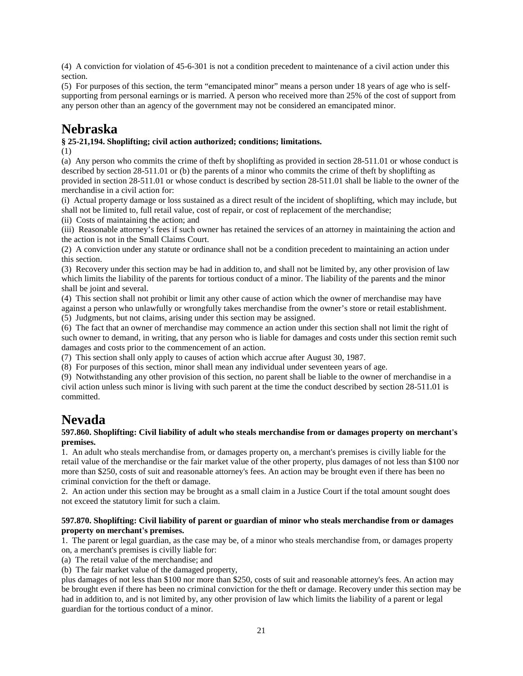(4) A conviction for violation of 45-6-301 is not a condition precedent to maintenance of a civil action under this section.

(5) For purposes of this section, the term "emancipated minor" means a person under 18 years of age who is selfsupporting from personal earnings or is married. A person who received more than 25% of the cost of support from any person other than an agency of the government may not be considered an emancipated minor.

## **Nebraska**

#### **§ 25-21,194. Shoplifting; civil action authorized; conditions; limitations.**

(1)

(a) Any person who commits the crime of theft by shoplifting as provided in section 28-511.01 or whose conduct is described by section 28-511.01 or (b) the parents of a minor who commits the crime of theft by shoplifting as provided in section 28-511.01 or whose conduct is described by section 28-511.01 shall be liable to the owner of the merchandise in a civil action for:

(i) Actual property damage or loss sustained as a direct result of the incident of shoplifting, which may include, but shall not be limited to, full retail value, cost of repair, or cost of replacement of the merchandise;

(ii) Costs of maintaining the action; and

(iii) Reasonable attorney's fees if such owner has retained the services of an attorney in maintaining the action and the action is not in the Small Claims Court.

(2) A conviction under any statute or ordinance shall not be a condition precedent to maintaining an action under this section.

(3) Recovery under this section may be had in addition to, and shall not be limited by, any other provision of law which limits the liability of the parents for tortious conduct of a minor. The liability of the parents and the minor shall be joint and several.

(4) This section shall not prohibit or limit any other cause of action which the owner of merchandise may have against a person who unlawfully or wrongfully takes merchandise from the owner's store or retail establishment. (5) Judgments, but not claims, arising under this section may be assigned.

(6) The fact that an owner of merchandise may commence an action under this section shall not limit the right of such owner to demand, in writing, that any person who is liable for damages and costs under this section remit such damages and costs prior to the commencement of an action.

(7) This section shall only apply to causes of action which accrue after August 30, 1987.

(8) For purposes of this section, minor shall mean any individual under seventeen years of age.

(9) Notwithstanding any other provision of this section, no parent shall be liable to the owner of merchandise in a civil action unless such minor is living with such parent at the time the conduct described by section 28-511.01 is committed.

## **Nevada**

#### **597.860. Shoplifting: Civil liability of adult who steals merchandise from or damages property on merchant's premises.**

1. An adult who steals merchandise from, or damages property on, a merchant's premises is civilly liable for the retail value of the merchandise or the fair market value of the other property, plus damages of not less than \$100 nor more than \$250, costs of suit and reasonable attorney's fees. An action may be brought even if there has been no criminal conviction for the theft or damage.

2. An action under this section may be brought as a small claim in a Justice Court if the total amount sought does not exceed the statutory limit for such a claim.

#### **597.870. Shoplifting: Civil liability of parent or guardian of minor who steals merchandise from or damages property on merchant's premises.**

1. The parent or legal guardian, as the case may be, of a minor who steals merchandise from, or damages property on, a merchant's premises is civilly liable for:

(a) The retail value of the merchandise; and

(b) The fair market value of the damaged property,

plus damages of not less than \$100 nor more than \$250, costs of suit and reasonable attorney's fees. An action may be brought even if there has been no criminal conviction for the theft or damage. Recovery under this section may be had in addition to, and is not limited by, any other provision of law which limits the liability of a parent or legal guardian for the tortious conduct of a minor.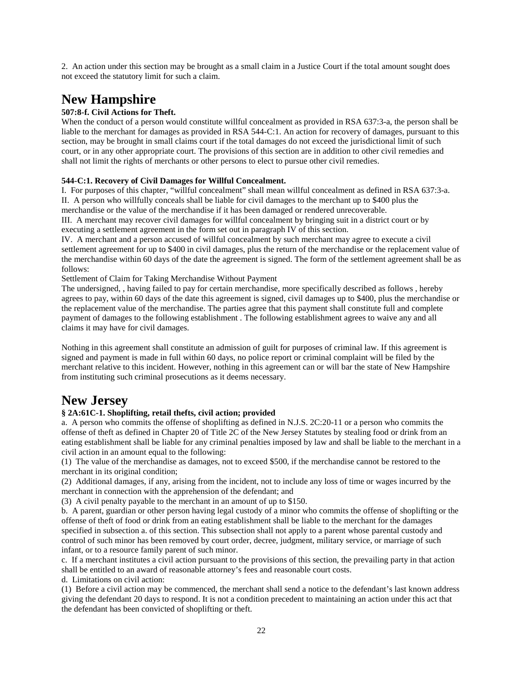2. An action under this section may be brought as a small claim in a Justice Court if the total amount sought does not exceed the statutory limit for such a claim.

## **New Hampshire**

#### **507:8-f. Civil Actions for Theft.**

When the conduct of a person would constitute willful concealment as provided in RSA 637:3-a, the person shall be liable to the merchant for damages as provided in RSA 544-C:1. An action for recovery of damages, pursuant to this section, may be brought in small claims court if the total damages do not exceed the jurisdictional limit of such court, or in any other appropriate court. The provisions of this section are in addition to other civil remedies and shall not limit the rights of merchants or other persons to elect to pursue other civil remedies.

#### **544-C:1. Recovery of Civil Damages for Willful Concealment.**

I. For purposes of this chapter, "willful concealment" shall mean willful concealment as defined in RSA 637:3-a.

II. A person who willfully conceals shall be liable for civil damages to the merchant up to \$400 plus the merchandise or the value of the merchandise if it has been damaged or rendered unrecoverable.

III. A merchant may recover civil damages for willful concealment by bringing suit in a district court or by executing a settlement agreement in the form set out in paragraph IV of this section.

IV. A merchant and a person accused of willful concealment by such merchant may agree to execute a civil settlement agreement for up to \$400 in civil damages, plus the return of the merchandise or the replacement value of the merchandise within 60 days of the date the agreement is signed. The form of the settlement agreement shall be as follows:

Settlement of Claim for Taking Merchandise Without Payment

The undersigned, , having failed to pay for certain merchandise, more specifically described as follows , hereby agrees to pay, within 60 days of the date this agreement is signed, civil damages up to \$400, plus the merchandise or the replacement value of the merchandise. The parties agree that this payment shall constitute full and complete payment of damages to the following establishment . The following establishment agrees to waive any and all claims it may have for civil damages.

Nothing in this agreement shall constitute an admission of guilt for purposes of criminal law. If this agreement is signed and payment is made in full within 60 days, no police report or criminal complaint will be filed by the merchant relative to this incident. However, nothing in this agreement can or will bar the state of New Hampshire from instituting such criminal prosecutions as it deems necessary.

### **New Jersey**

#### **§ 2A:61C-1. Shoplifting, retail thefts, civil action; provided**

a. A person who commits the offense of shoplifting as defined in N.J.S. 2C:20-11 or a person who commits the offense of theft as defined in Chapter 20 of Title 2C of the New Jersey Statutes by stealing food or drink from an eating establishment shall be liable for any criminal penalties imposed by law and shall be liable to the merchant in a civil action in an amount equal to the following:

(1) The value of the merchandise as damages, not to exceed \$500, if the merchandise cannot be restored to the merchant in its original condition;

(2) Additional damages, if any, arising from the incident, not to include any loss of time or wages incurred by the merchant in connection with the apprehension of the defendant; and

(3) A civil penalty payable to the merchant in an amount of up to \$150.

b. A parent, guardian or other person having legal custody of a minor who commits the offense of shoplifting or the offense of theft of food or drink from an eating establishment shall be liable to the merchant for the damages specified in subsection a. of this section. This subsection shall not apply to a parent whose parental custody and control of such minor has been removed by court order, decree, judgment, military service, or marriage of such infant, or to a resource family parent of such minor.

c. If a merchant institutes a civil action pursuant to the provisions of this section, the prevailing party in that action shall be entitled to an award of reasonable attorney's fees and reasonable court costs.

d. Limitations on civil action:

(1) Before a civil action may be commenced, the merchant shall send a notice to the defendant's last known address giving the defendant 20 days to respond. It is not a condition precedent to maintaining an action under this act that the defendant has been convicted of shoplifting or theft.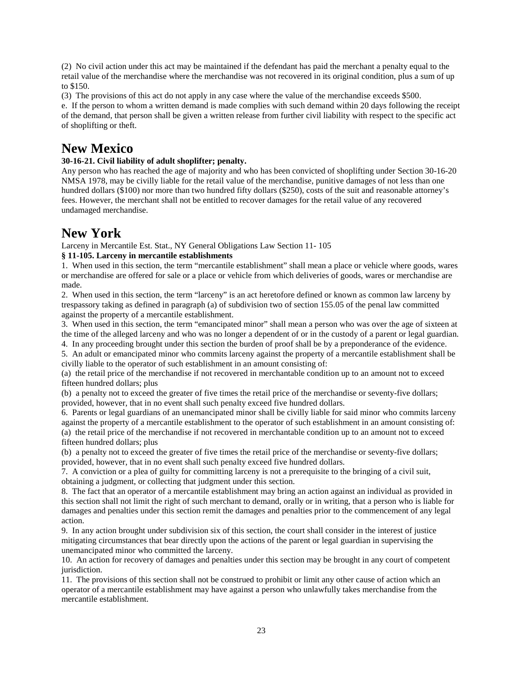(2) No civil action under this act may be maintained if the defendant has paid the merchant a penalty equal to the retail value of the merchandise where the merchandise was not recovered in its original condition, plus a sum of up to \$150.

(3) The provisions of this act do not apply in any case where the value of the merchandise exceeds \$500.

e. If the person to whom a written demand is made complies with such demand within 20 days following the receipt of the demand, that person shall be given a written release from further civil liability with respect to the specific act of shoplifting or theft.

## **New Mexico**

#### **30-16-21. Civil liability of adult shoplifter; penalty.**

Any person who has reached the age of majority and who has been convicted of shoplifting under Section 30-16-20 NMSA 1978, may be civilly liable for the retail value of the merchandise, punitive damages of not less than one hundred dollars (\$100) nor more than two hundred fifty dollars (\$250), costs of the suit and reasonable attorney's fees. However, the merchant shall not be entitled to recover damages for the retail value of any recovered undamaged merchandise.

## **New York**

Larceny in Mercantile Est. Stat., NY General Obligations Law Section 11- 105

#### **§ 11-105. Larceny in mercantile establishments**

1. When used in this section, the term "mercantile establishment" shall mean a place or vehicle where goods, wares or merchandise are offered for sale or a place or vehicle from which deliveries of goods, wares or merchandise are made.

2. When used in this section, the term "larceny" is an act heretofore defined or known as common law larceny by trespassory taking as defined in paragraph (a) of subdivision two of section 155.05 of the penal law committed against the property of a mercantile establishment.

3. When used in this section, the term "emancipated minor" shall mean a person who was over the age of sixteen at the time of the alleged larceny and who was no longer a dependent of or in the custody of a parent or legal guardian.

4. In any proceeding brought under this section the burden of proof shall be by a preponderance of the evidence.

5. An adult or emancipated minor who commits larceny against the property of a mercantile establishment shall be civilly liable to the operator of such establishment in an amount consisting of:

(a) the retail price of the merchandise if not recovered in merchantable condition up to an amount not to exceed fifteen hundred dollars; plus

(b) a penalty not to exceed the greater of five times the retail price of the merchandise or seventy-five dollars; provided, however, that in no event shall such penalty exceed five hundred dollars.

6. Parents or legal guardians of an unemancipated minor shall be civilly liable for said minor who commits larceny against the property of a mercantile establishment to the operator of such establishment in an amount consisting of: (a) the retail price of the merchandise if not recovered in merchantable condition up to an amount not to exceed fifteen hundred dollars; plus

(b) a penalty not to exceed the greater of five times the retail price of the merchandise or seventy-five dollars; provided, however, that in no event shall such penalty exceed five hundred dollars.

7. A conviction or a plea of guilty for committing larceny is not a prerequisite to the bringing of a civil suit, obtaining a judgment, or collecting that judgment under this section.

8. The fact that an operator of a mercantile establishment may bring an action against an individual as provided in this section shall not limit the right of such merchant to demand, orally or in writing, that a person who is liable for damages and penalties under this section remit the damages and penalties prior to the commencement of any legal action.

9. In any action brought under subdivision six of this section, the court shall consider in the interest of justice mitigating circumstances that bear directly upon the actions of the parent or legal guardian in supervising the unemancipated minor who committed the larceny.

10. An action for recovery of damages and penalties under this section may be brought in any court of competent jurisdiction.

11. The provisions of this section shall not be construed to prohibit or limit any other cause of action which an operator of a mercantile establishment may have against a person who unlawfully takes merchandise from the mercantile establishment.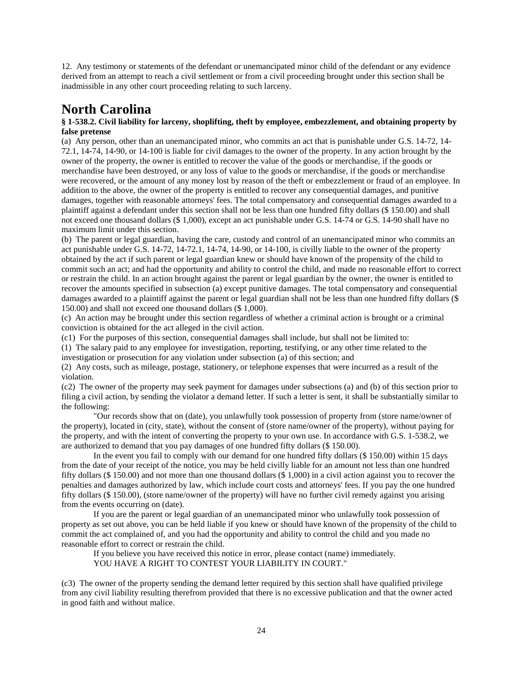12. Any testimony or statements of the defendant or unemancipated minor child of the defendant or any evidence derived from an attempt to reach a civil settlement or from a civil proceeding brought under this section shall be inadmissible in any other court proceeding relating to such larceny.

## **North Carolina**

#### **§ 1-538.2. Civil liability for larceny, shoplifting, theft by employee, embezzlement, and obtaining property by false pretense**

(a) Any person, other than an unemancipated minor, who commits an act that is punishable under G.S. 14-72, 14- 72.1, 14-74, 14-90, or 14-100 is liable for civil damages to the owner of the property. In any action brought by the owner of the property, the owner is entitled to recover the value of the goods or merchandise, if the goods or merchandise have been destroyed, or any loss of value to the goods or merchandise, if the goods or merchandise were recovered, or the amount of any money lost by reason of the theft or embezzlement or fraud of an employee. In addition to the above, the owner of the property is entitled to recover any consequential damages, and punitive damages, together with reasonable attorneys' fees. The total compensatory and consequential damages awarded to a plaintiff against a defendant under this section shall not be less than one hundred fifty dollars (\$ 150.00) and shall not exceed one thousand dollars (\$ 1,000), except an act punishable under G.S. 14-74 or G.S. 14-90 shall have no maximum limit under this section.

(b) The parent or legal guardian, having the care, custody and control of an unemancipated minor who commits an act punishable under G.S. 14-72, 14-72.1, 14-74, 14-90, or 14-100, is civilly liable to the owner of the property obtained by the act if such parent or legal guardian knew or should have known of the propensity of the child to commit such an act; and had the opportunity and ability to control the child, and made no reasonable effort to correct or restrain the child. In an action brought against the parent or legal guardian by the owner, the owner is entitled to recover the amounts specified in subsection (a) except punitive damages. The total compensatory and consequential damages awarded to a plaintiff against the parent or legal guardian shall not be less than one hundred fifty dollars (\$ 150.00) and shall not exceed one thousand dollars (\$ 1,000).

(c) An action may be brought under this section regardless of whether a criminal action is brought or a criminal conviction is obtained for the act alleged in the civil action.

(c1) For the purposes of this section, consequential damages shall include, but shall not be limited to:

(1) The salary paid to any employee for investigation, reporting, testifying, or any other time related to the investigation or prosecution for any violation under subsection (a) of this section; and

(2) Any costs, such as mileage, postage, stationery, or telephone expenses that were incurred as a result of the violation.

(c2) The owner of the property may seek payment for damages under subsections (a) and (b) of this section prior to filing a civil action, by sending the violator a demand letter. If such a letter is sent, it shall be substantially similar to the following:

 "Our records show that on (date), you unlawfully took possession of property from (store name/owner of the property), located in (city, state), without the consent of (store name/owner of the property), without paying for the property, and with the intent of converting the property to your own use. In accordance with G.S. 1-538.2, we are authorized to demand that you pay damages of one hundred fifty dollars (\$ 150.00).

 In the event you fail to comply with our demand for one hundred fifty dollars (\$ 150.00) within 15 days from the date of your receipt of the notice, you may be held civilly liable for an amount not less than one hundred fifty dollars (\$ 150.00) and not more than one thousand dollars (\$ 1,000) in a civil action against you to recover the penalties and damages authorized by law, which include court costs and attorneys' fees. If you pay the one hundred fifty dollars (\$ 150.00), (store name/owner of the property) will have no further civil remedy against you arising from the events occurring on (date).

 If you are the parent or legal guardian of an unemancipated minor who unlawfully took possession of property as set out above, you can be held liable if you knew or should have known of the propensity of the child to commit the act complained of, and you had the opportunity and ability to control the child and you made no reasonable effort to correct or restrain the child.

 If you believe you have received this notice in error, please contact (name) immediately. YOU HAVE A RIGHT TO CONTEST YOUR LIABILITY IN COURT."

(c3) The owner of the property sending the demand letter required by this section shall have qualified privilege from any civil liability resulting therefrom provided that there is no excessive publication and that the owner acted in good faith and without malice.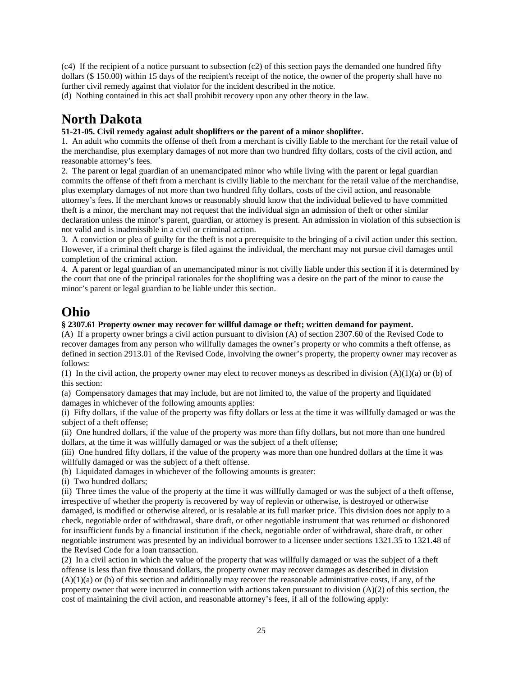$(c4)$  If the recipient of a notice pursuant to subsection  $(c2)$  of this section pays the demanded one hundred fifty dollars (\$ 150.00) within 15 days of the recipient's receipt of the notice, the owner of the property shall have no further civil remedy against that violator for the incident described in the notice.

(d) Nothing contained in this act shall prohibit recovery upon any other theory in the law.

## **North Dakota**

#### **51-21-05. Civil remedy against adult shoplifters or the parent of a minor shoplifter.**

1. An adult who commits the offense of theft from a merchant is civilly liable to the merchant for the retail value of the merchandise, plus exemplary damages of not more than two hundred fifty dollars, costs of the civil action, and reasonable attorney's fees.

2. The parent or legal guardian of an unemancipated minor who while living with the parent or legal guardian commits the offense of theft from a merchant is civilly liable to the merchant for the retail value of the merchandise, plus exemplary damages of not more than two hundred fifty dollars, costs of the civil action, and reasonable attorney's fees. If the merchant knows or reasonably should know that the individual believed to have committed theft is a minor, the merchant may not request that the individual sign an admission of theft or other similar declaration unless the minor's parent, guardian, or attorney is present. An admission in violation of this subsection is not valid and is inadmissible in a civil or criminal action.

3. A conviction or plea of guilty for the theft is not a prerequisite to the bringing of a civil action under this section. However, if a criminal theft charge is filed against the individual, the merchant may not pursue civil damages until completion of the criminal action.

4. A parent or legal guardian of an unemancipated minor is not civilly liable under this section if it is determined by the court that one of the principal rationales for the shoplifting was a desire on the part of the minor to cause the minor's parent or legal guardian to be liable under this section.

## **Ohio**

#### **§ 2307.61 Property owner may recover for willful damage or theft; written demand for payment.**

(A) If a property owner brings a civil action pursuant to division (A) of section 2307.60 of the Revised Code to recover damages from any person who willfully damages the owner's property or who commits a theft offense, as defined in section 2913.01 of the Revised Code, involving the owner's property, the property owner may recover as follows:

(1) In the civil action, the property owner may elect to recover moneys as described in division  $(A)(1)(a)$  or (b) of this section:

(a) Compensatory damages that may include, but are not limited to, the value of the property and liquidated damages in whichever of the following amounts applies:

(i) Fifty dollars, if the value of the property was fifty dollars or less at the time it was willfully damaged or was the subject of a theft offense;

(ii) One hundred dollars, if the value of the property was more than fifty dollars, but not more than one hundred dollars, at the time it was willfully damaged or was the subject of a theft offense;

(iii) One hundred fifty dollars, if the value of the property was more than one hundred dollars at the time it was willfully damaged or was the subject of a theft offense.

(b) Liquidated damages in whichever of the following amounts is greater:

(i) Two hundred dollars;

(ii) Three times the value of the property at the time it was willfully damaged or was the subject of a theft offense, irrespective of whether the property is recovered by way of replevin or otherwise, is destroyed or otherwise damaged, is modified or otherwise altered, or is resalable at its full market price. This division does not apply to a check, negotiable order of withdrawal, share draft, or other negotiable instrument that was returned or dishonored for insufficient funds by a financial institution if the check, negotiable order of withdrawal, share draft, or other negotiable instrument was presented by an individual borrower to a licensee under sections 1321.35 to 1321.48 of the Revised Code for a loan transaction.

(2) In a civil action in which the value of the property that was willfully damaged or was the subject of a theft offense is less than five thousand dollars, the property owner may recover damages as described in division (A)(1)(a) or (b) of this section and additionally may recover the reasonable administrative costs, if any, of the property owner that were incurred in connection with actions taken pursuant to division (A)(2) of this section, the cost of maintaining the civil action, and reasonable attorney's fees, if all of the following apply: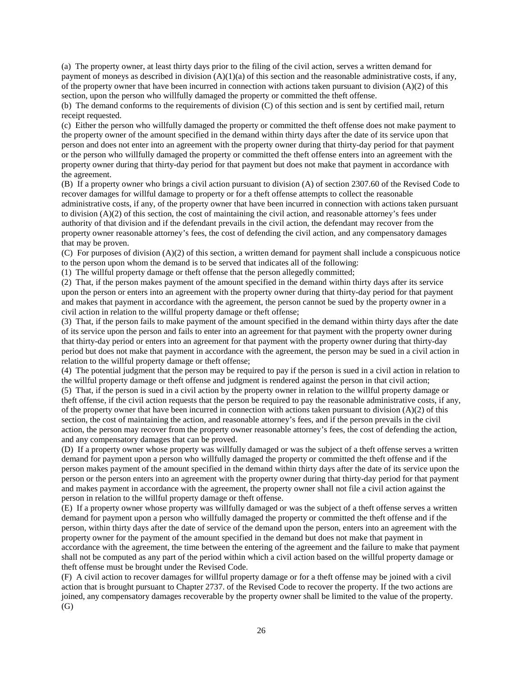(a) The property owner, at least thirty days prior to the filing of the civil action, serves a written demand for payment of moneys as described in division  $(A)(1)(a)$  of this section and the reasonable administrative costs, if any, of the property owner that have been incurred in connection with actions taken pursuant to division  $(A)(2)$  of this section, upon the person who willfully damaged the property or committed the theft offense.

(b) The demand conforms to the requirements of division (C) of this section and is sent by certified mail, return receipt requested.

(c) Either the person who willfully damaged the property or committed the theft offense does not make payment to the property owner of the amount specified in the demand within thirty days after the date of its service upon that person and does not enter into an agreement with the property owner during that thirty-day period for that payment or the person who willfully damaged the property or committed the theft offense enters into an agreement with the property owner during that thirty-day period for that payment but does not make that payment in accordance with the agreement.

(B) If a property owner who brings a civil action pursuant to division (A) of section 2307.60 of the Revised Code to recover damages for willful damage to property or for a theft offense attempts to collect the reasonable administrative costs, if any, of the property owner that have been incurred in connection with actions taken pursuant to division  $(A)(2)$  of this section, the cost of maintaining the civil action, and reasonable attorney's fees under authority of that division and if the defendant prevails in the civil action, the defendant may recover from the property owner reasonable attorney's fees, the cost of defending the civil action, and any compensatory damages that may be proven.

(C) For purposes of division  $(A)(2)$  of this section, a written demand for payment shall include a conspicuous notice to the person upon whom the demand is to be served that indicates all of the following:

(1) The willful property damage or theft offense that the person allegedly committed;

(2) That, if the person makes payment of the amount specified in the demand within thirty days after its service upon the person or enters into an agreement with the property owner during that thirty-day period for that payment and makes that payment in accordance with the agreement, the person cannot be sued by the property owner in a civil action in relation to the willful property damage or theft offense;

(3) That, if the person fails to make payment of the amount specified in the demand within thirty days after the date of its service upon the person and fails to enter into an agreement for that payment with the property owner during that thirty-day period or enters into an agreement for that payment with the property owner during that thirty-day period but does not make that payment in accordance with the agreement, the person may be sued in a civil action in relation to the willful property damage or theft offense;

(4) The potential judgment that the person may be required to pay if the person is sued in a civil action in relation to the willful property damage or theft offense and judgment is rendered against the person in that civil action;

(5) That, if the person is sued in a civil action by the property owner in relation to the willful property damage or theft offense, if the civil action requests that the person be required to pay the reasonable administrative costs, if any, of the property owner that have been incurred in connection with actions taken pursuant to division (A)(2) of this section, the cost of maintaining the action, and reasonable attorney's fees, and if the person prevails in the civil action, the person may recover from the property owner reasonable attorney's fees, the cost of defending the action, and any compensatory damages that can be proved.

(D) If a property owner whose property was willfully damaged or was the subject of a theft offense serves a written demand for payment upon a person who willfully damaged the property or committed the theft offense and if the person makes payment of the amount specified in the demand within thirty days after the date of its service upon the person or the person enters into an agreement with the property owner during that thirty-day period for that payment and makes payment in accordance with the agreement, the property owner shall not file a civil action against the person in relation to the willful property damage or theft offense.

(E) If a property owner whose property was willfully damaged or was the subject of a theft offense serves a written demand for payment upon a person who willfully damaged the property or committed the theft offense and if the person, within thirty days after the date of service of the demand upon the person, enters into an agreement with the property owner for the payment of the amount specified in the demand but does not make that payment in accordance with the agreement, the time between the entering of the agreement and the failure to make that payment shall not be computed as any part of the period within which a civil action based on the willful property damage or theft offense must be brought under the Revised Code.

(F) A civil action to recover damages for willful property damage or for a theft offense may be joined with a civil action that is brought pursuant to Chapter 2737. of the Revised Code to recover the property. If the two actions are joined, any compensatory damages recoverable by the property owner shall be limited to the value of the property. (G)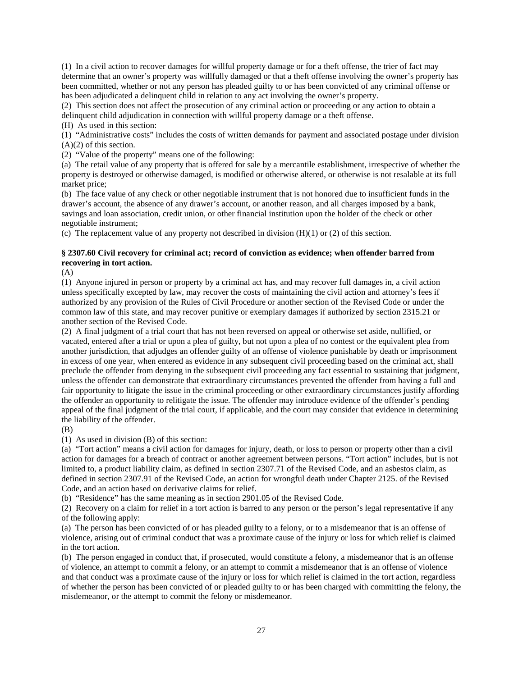(1) In a civil action to recover damages for willful property damage or for a theft offense, the trier of fact may determine that an owner's property was willfully damaged or that a theft offense involving the owner's property has been committed, whether or not any person has pleaded guilty to or has been convicted of any criminal offense or has been adjudicated a delinquent child in relation to any act involving the owner's property.

(2) This section does not affect the prosecution of any criminal action or proceeding or any action to obtain a delinquent child adjudication in connection with willful property damage or a theft offense.

(H) As used in this section:

(1) "Administrative costs" includes the costs of written demands for payment and associated postage under division  $(A)(2)$  of this section.

(2) "Value of the property" means one of the following:

(a) The retail value of any property that is offered for sale by a mercantile establishment, irrespective of whether the property is destroyed or otherwise damaged, is modified or otherwise altered, or otherwise is not resalable at its full market price;

(b) The face value of any check or other negotiable instrument that is not honored due to insufficient funds in the drawer's account, the absence of any drawer's account, or another reason, and all charges imposed by a bank, savings and loan association, credit union, or other financial institution upon the holder of the check or other negotiable instrument;

(c) The replacement value of any property not described in division  $(H)(1)$  or  $(2)$  of this section.

#### **§ 2307.60 Civil recovery for criminal act; record of conviction as evidence; when offender barred from recovering in tort action.**

(A)

(1) Anyone injured in person or property by a criminal act has, and may recover full damages in, a civil action unless specifically excepted by law, may recover the costs of maintaining the civil action and attorney's fees if authorized by any provision of the Rules of Civil Procedure or another section of the Revised Code or under the common law of this state, and may recover punitive or exemplary damages if authorized by section 2315.21 or another section of the Revised Code.

(2) A final judgment of a trial court that has not been reversed on appeal or otherwise set aside, nullified, or vacated, entered after a trial or upon a plea of guilty, but not upon a plea of no contest or the equivalent plea from another jurisdiction, that adjudges an offender guilty of an offense of violence punishable by death or imprisonment in excess of one year, when entered as evidence in any subsequent civil proceeding based on the criminal act, shall preclude the offender from denying in the subsequent civil proceeding any fact essential to sustaining that judgment, unless the offender can demonstrate that extraordinary circumstances prevented the offender from having a full and fair opportunity to litigate the issue in the criminal proceeding or other extraordinary circumstances justify affording the offender an opportunity to relitigate the issue. The offender may introduce evidence of the offender's pending appeal of the final judgment of the trial court, if applicable, and the court may consider that evidence in determining the liability of the offender.

(B)

(1) As used in division (B) of this section:

(a) "Tort action" means a civil action for damages for injury, death, or loss to person or property other than a civil action for damages for a breach of contract or another agreement between persons. "Tort action" includes, but is not limited to, a product liability claim, as defined in section 2307.71 of the Revised Code, and an asbestos claim, as defined in section 2307.91 of the Revised Code, an action for wrongful death under Chapter 2125. of the Revised Code, and an action based on derivative claims for relief.

(b) "Residence" has the same meaning as in section 2901.05 of the Revised Code.

(2) Recovery on a claim for relief in a tort action is barred to any person or the person's legal representative if any of the following apply:

(a) The person has been convicted of or has pleaded guilty to a felony, or to a misdemeanor that is an offense of violence, arising out of criminal conduct that was a proximate cause of the injury or loss for which relief is claimed in the tort action.

(b) The person engaged in conduct that, if prosecuted, would constitute a felony, a misdemeanor that is an offense of violence, an attempt to commit a felony, or an attempt to commit a misdemeanor that is an offense of violence and that conduct was a proximate cause of the injury or loss for which relief is claimed in the tort action, regardless of whether the person has been convicted of or pleaded guilty to or has been charged with committing the felony, the misdemeanor, or the attempt to commit the felony or misdemeanor.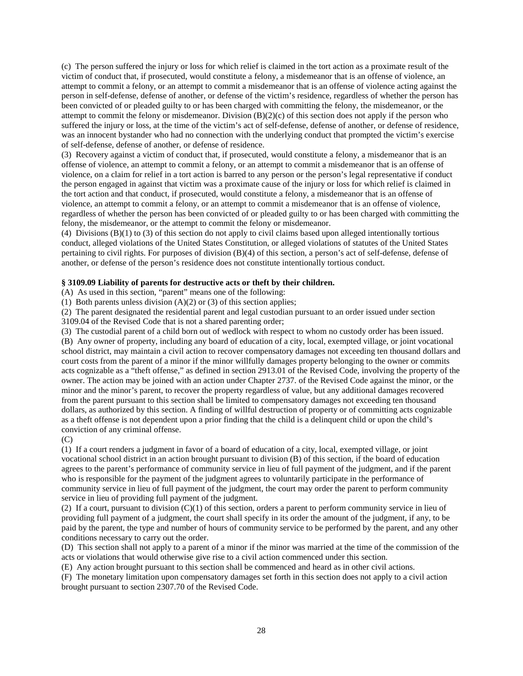(c) The person suffered the injury or loss for which relief is claimed in the tort action as a proximate result of the victim of conduct that, if prosecuted, would constitute a felony, a misdemeanor that is an offense of violence, an attempt to commit a felony, or an attempt to commit a misdemeanor that is an offense of violence acting against the person in self-defense, defense of another, or defense of the victim's residence, regardless of whether the person has been convicted of or pleaded guilty to or has been charged with committing the felony, the misdemeanor, or the attempt to commit the felony or misdemeanor. Division  $(B)(2)(c)$  of this section does not apply if the person who suffered the injury or loss, at the time of the victim's act of self-defense, defense of another, or defense of residence, was an innocent bystander who had no connection with the underlying conduct that prompted the victim's exercise of self-defense, defense of another, or defense of residence.

(3) Recovery against a victim of conduct that, if prosecuted, would constitute a felony, a misdemeanor that is an offense of violence, an attempt to commit a felony, or an attempt to commit a misdemeanor that is an offense of violence, on a claim for relief in a tort action is barred to any person or the person's legal representative if conduct the person engaged in against that victim was a proximate cause of the injury or loss for which relief is claimed in the tort action and that conduct, if prosecuted, would constitute a felony, a misdemeanor that is an offense of violence, an attempt to commit a felony, or an attempt to commit a misdemeanor that is an offense of violence, regardless of whether the person has been convicted of or pleaded guilty to or has been charged with committing the felony, the misdemeanor, or the attempt to commit the felony or misdemeanor.

(4) Divisions (B)(1) to (3) of this section do not apply to civil claims based upon alleged intentionally tortious conduct, alleged violations of the United States Constitution, or alleged violations of statutes of the United States pertaining to civil rights. For purposes of division (B)(4) of this section, a person's act of self-defense, defense of another, or defense of the person's residence does not constitute intentionally tortious conduct.

#### **§ 3109.09 Liability of parents for destructive acts or theft by their children.**

(A) As used in this section, "parent" means one of the following:

(1) Both parents unless division  $(A)(2)$  or  $(3)$  of this section applies;

(2) The parent designated the residential parent and legal custodian pursuant to an order issued under section

3109.04 of the Revised Code that is not a shared parenting order;

(3) The custodial parent of a child born out of wedlock with respect to whom no custody order has been issued. (B) Any owner of property, including any board of education of a city, local, exempted village, or joint vocational school district, may maintain a civil action to recover compensatory damages not exceeding ten thousand dollars and court costs from the parent of a minor if the minor willfully damages property belonging to the owner or commits acts cognizable as a "theft offense," as defined in section 2913.01 of the Revised Code, involving the property of the owner. The action may be joined with an action under Chapter 2737. of the Revised Code against the minor, or the minor and the minor's parent, to recover the property regardless of value, but any additional damages recovered from the parent pursuant to this section shall be limited to compensatory damages not exceeding ten thousand dollars, as authorized by this section. A finding of willful destruction of property or of committing acts cognizable as a theft offense is not dependent upon a prior finding that the child is a delinquent child or upon the child's conviction of any criminal offense.

 $(C)$ 

(1) If a court renders a judgment in favor of a board of education of a city, local, exempted village, or joint vocational school district in an action brought pursuant to division (B) of this section, if the board of education agrees to the parent's performance of community service in lieu of full payment of the judgment, and if the parent who is responsible for the payment of the judgment agrees to voluntarily participate in the performance of community service in lieu of full payment of the judgment, the court may order the parent to perform community service in lieu of providing full payment of the judgment.

(2) If a court, pursuant to division  $(C)(1)$  of this section, orders a parent to perform community service in lieu of providing full payment of a judgment, the court shall specify in its order the amount of the judgment, if any, to be paid by the parent, the type and number of hours of community service to be performed by the parent, and any other conditions necessary to carry out the order.

(D) This section shall not apply to a parent of a minor if the minor was married at the time of the commission of the acts or violations that would otherwise give rise to a civil action commenced under this section.

(E) Any action brought pursuant to this section shall be commenced and heard as in other civil actions.

(F) The monetary limitation upon compensatory damages set forth in this section does not apply to a civil action brought pursuant to section 2307.70 of the Revised Code.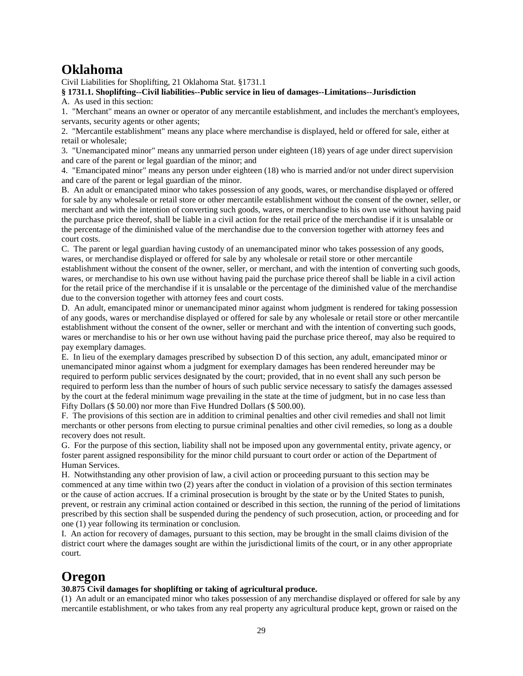## **Oklahoma**

Civil Liabilities for Shoplifting, 21 Oklahoma Stat. §1731.1

#### **§ 1731.1. Shoplifting--Civil liabilities--Public service in lieu of damages--Limitations--Jurisdiction**

A. As used in this section:

1. "Merchant" means an owner or operator of any mercantile establishment, and includes the merchant's employees, servants, security agents or other agents;

2. "Mercantile establishment" means any place where merchandise is displayed, held or offered for sale, either at retail or wholesale;

3. "Unemancipated minor" means any unmarried person under eighteen (18) years of age under direct supervision and care of the parent or legal guardian of the minor; and

4. "Emancipated minor" means any person under eighteen (18) who is married and/or not under direct supervision and care of the parent or legal guardian of the minor.

B. An adult or emancipated minor who takes possession of any goods, wares, or merchandise displayed or offered for sale by any wholesale or retail store or other mercantile establishment without the consent of the owner, seller, or merchant and with the intention of converting such goods, wares, or merchandise to his own use without having paid the purchase price thereof, shall be liable in a civil action for the retail price of the merchandise if it is unsalable or the percentage of the diminished value of the merchandise due to the conversion together with attorney fees and court costs.

C. The parent or legal guardian having custody of an unemancipated minor who takes possession of any goods, wares, or merchandise displayed or offered for sale by any wholesale or retail store or other mercantile establishment without the consent of the owner, seller, or merchant, and with the intention of converting such goods, wares, or merchandise to his own use without having paid the purchase price thereof shall be liable in a civil action for the retail price of the merchandise if it is unsalable or the percentage of the diminished value of the merchandise due to the conversion together with attorney fees and court costs.

D. An adult, emancipated minor or unemancipated minor against whom judgment is rendered for taking possession of any goods, wares or merchandise displayed or offered for sale by any wholesale or retail store or other mercantile establishment without the consent of the owner, seller or merchant and with the intention of converting such goods, wares or merchandise to his or her own use without having paid the purchase price thereof, may also be required to pay exemplary damages.

E. In lieu of the exemplary damages prescribed by subsection D of this section, any adult, emancipated minor or unemancipated minor against whom a judgment for exemplary damages has been rendered hereunder may be required to perform public services designated by the court; provided, that in no event shall any such person be required to perform less than the number of hours of such public service necessary to satisfy the damages assessed by the court at the federal minimum wage prevailing in the state at the time of judgment, but in no case less than Fifty Dollars (\$ 50.00) nor more than Five Hundred Dollars (\$ 500.00).

F. The provisions of this section are in addition to criminal penalties and other civil remedies and shall not limit merchants or other persons from electing to pursue criminal penalties and other civil remedies, so long as a double recovery does not result.

G. For the purpose of this section, liability shall not be imposed upon any governmental entity, private agency, or foster parent assigned responsibility for the minor child pursuant to court order or action of the Department of Human Services.

H. Notwithstanding any other provision of law, a civil action or proceeding pursuant to this section may be commenced at any time within two (2) years after the conduct in violation of a provision of this section terminates or the cause of action accrues. If a criminal prosecution is brought by the state or by the United States to punish, prevent, or restrain any criminal action contained or described in this section, the running of the period of limitations prescribed by this section shall be suspended during the pendency of such prosecution, action, or proceeding and for one (1) year following its termination or conclusion.

I. An action for recovery of damages, pursuant to this section, may be brought in the small claims division of the district court where the damages sought are within the jurisdictional limits of the court, or in any other appropriate court.

## **Oregon**

#### **30.875 Civil damages for shoplifting or taking of agricultural produce.**

(1) An adult or an emancipated minor who takes possession of any merchandise displayed or offered for sale by any mercantile establishment, or who takes from any real property any agricultural produce kept, grown or raised on the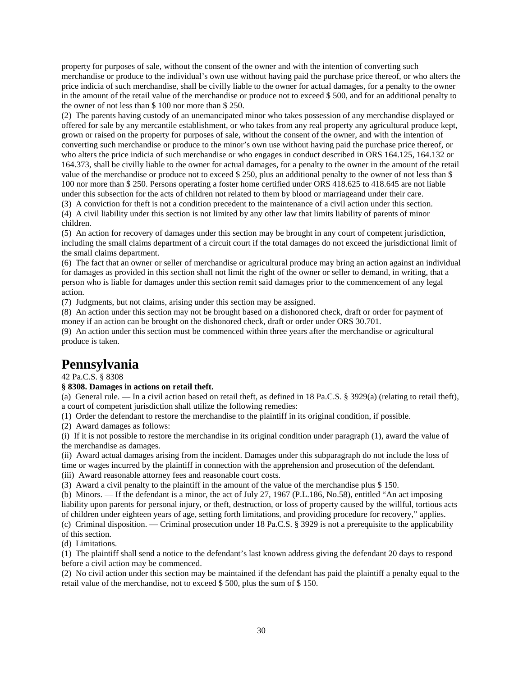property for purposes of sale, without the consent of the owner and with the intention of converting such merchandise or produce to the individual's own use without having paid the purchase price thereof, or who alters the price indicia of such merchandise, shall be civilly liable to the owner for actual damages, for a penalty to the owner in the amount of the retail value of the merchandise or produce not to exceed \$ 500, and for an additional penalty to the owner of not less than \$ 100 nor more than \$ 250.

(2) The parents having custody of an unemancipated minor who takes possession of any merchandise displayed or offered for sale by any mercantile establishment, or who takes from any real property any agricultural produce kept, grown or raised on the property for purposes of sale, without the consent of the owner, and with the intention of converting such merchandise or produce to the minor's own use without having paid the purchase price thereof, or who alters the price indicia of such merchandise or who engages in conduct described in ORS 164.125, 164.132 or 164.373, shall be civilly liable to the owner for actual damages, for a penalty to the owner in the amount of the retail value of the merchandise or produce not to exceed \$ 250, plus an additional penalty to the owner of not less than \$ 100 nor more than \$ 250. Persons operating a foster home certified under ORS 418.625 to 418.645 are not liable under this subsection for the acts of children not related to them by blood or marriageand under their care.

(3) A conviction for theft is not a condition precedent to the maintenance of a civil action under this section. (4) A civil liability under this section is not limited by any other law that limits liability of parents of minor children.

(5) An action for recovery of damages under this section may be brought in any court of competent jurisdiction, including the small claims department of a circuit court if the total damages do not exceed the jurisdictional limit of the small claims department.

(6) The fact that an owner or seller of merchandise or agricultural produce may bring an action against an individual for damages as provided in this section shall not limit the right of the owner or seller to demand, in writing, that a person who is liable for damages under this section remit said damages prior to the commencement of any legal action.

(7) Judgments, but not claims, arising under this section may be assigned.

(8) An action under this section may not be brought based on a dishonored check, draft or order for payment of money if an action can be brought on the dishonored check, draft or order under ORS 30.701.

(9) An action under this section must be commenced within three years after the merchandise or agricultural produce is taken.

### **Pennsylvania**

42 Pa.C.S. § 8308

#### **§ 8308. Damages in actions on retail theft.**

(a) General rule. — In a civil action based on retail theft, as defined in 18 Pa.C.S. § 3929(a) (relating to retail theft), a court of competent jurisdiction shall utilize the following remedies:

(1) Order the defendant to restore the merchandise to the plaintiff in its original condition, if possible.

(2) Award damages as follows:

(i) If it is not possible to restore the merchandise in its original condition under paragraph (1), award the value of the merchandise as damages.

(ii) Award actual damages arising from the incident. Damages under this subparagraph do not include the loss of time or wages incurred by the plaintiff in connection with the apprehension and prosecution of the defendant. (iii) Award reasonable attorney fees and reasonable court costs.

(3) Award a civil penalty to the plaintiff in the amount of the value of the merchandise plus \$ 150.

(b) Minors. — If the defendant is a minor, the act of July 27, 1967 (P.L.186, No.58), entitled "An act imposing liability upon parents for personal injury, or theft, destruction, or loss of property caused by the willful, tortious acts of children under eighteen years of age, setting forth limitations, and providing procedure for recovery," applies.

(c) Criminal disposition. — Criminal prosecution under 18 Pa.C.S. § 3929 is not a prerequisite to the applicability of this section.

(d) Limitations.

(1) The plaintiff shall send a notice to the defendant's last known address giving the defendant 20 days to respond before a civil action may be commenced.

(2) No civil action under this section may be maintained if the defendant has paid the plaintiff a penalty equal to the retail value of the merchandise, not to exceed \$ 500, plus the sum of \$ 150.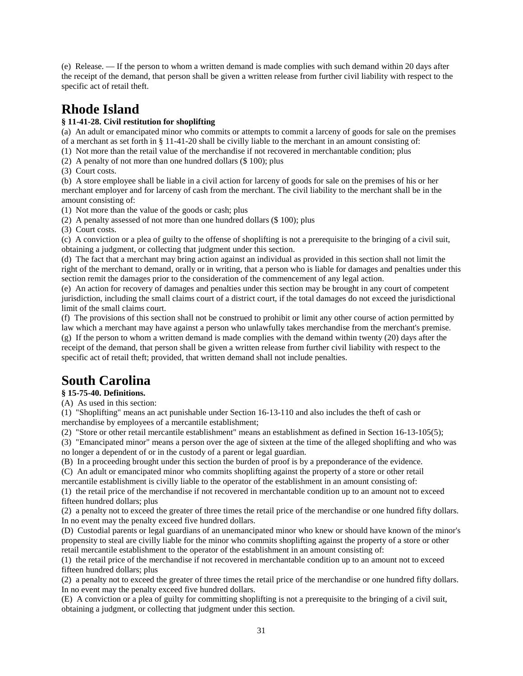(e) Release. — If the person to whom a written demand is made complies with such demand within 20 days after the receipt of the demand, that person shall be given a written release from further civil liability with respect to the specific act of retail theft.

## **Rhode Island**

#### **§ 11-41-28. Civil restitution for shoplifting**

(a) An adult or emancipated minor who commits or attempts to commit a larceny of goods for sale on the premises of a merchant as set forth in § 11-41-20 shall be civilly liable to the merchant in an amount consisting of: (1) Not more than the retail value of the merchandise if not recovered in merchantable condition; plus

- (2) A penalty of not more than one hundred dollars (\$ 100); plus
- (3) Court costs.

(b) A store employee shall be liable in a civil action for larceny of goods for sale on the premises of his or her merchant employer and for larceny of cash from the merchant. The civil liability to the merchant shall be in the amount consisting of:

(1) Not more than the value of the goods or cash; plus

(2) A penalty assessed of not more than one hundred dollars (\$ 100); plus

(3) Court costs.

(c) A conviction or a plea of guilty to the offense of shoplifting is not a prerequisite to the bringing of a civil suit, obtaining a judgment, or collecting that judgment under this section.

(d) The fact that a merchant may bring action against an individual as provided in this section shall not limit the right of the merchant to demand, orally or in writing, that a person who is liable for damages and penalties under this section remit the damages prior to the consideration of the commencement of any legal action.

(e) An action for recovery of damages and penalties under this section may be brought in any court of competent jurisdiction, including the small claims court of a district court, if the total damages do not exceed the jurisdictional limit of the small claims court.

(f) The provisions of this section shall not be construed to prohibit or limit any other course of action permitted by law which a merchant may have against a person who unlawfully takes merchandise from the merchant's premise. (g) If the person to whom a written demand is made complies with the demand within twenty (20) days after the receipt of the demand, that person shall be given a written release from further civil liability with respect to the specific act of retail theft; provided, that written demand shall not include penalties.

## **South Carolina**

#### **§ 15-75-40. Definitions.**

(A) As used in this section:

(1) "Shoplifting" means an act punishable under Section 16-13-110 and also includes the theft of cash or merchandise by employees of a mercantile establishment;

(2) "Store or other retail mercantile establishment" means an establishment as defined in Section 16-13-105(5);

(3) "Emancipated minor" means a person over the age of sixteen at the time of the alleged shoplifting and who was no longer a dependent of or in the custody of a parent or legal guardian.

(B) In a proceeding brought under this section the burden of proof is by a preponderance of the evidence.

(C) An adult or emancipated minor who commits shoplifting against the property of a store or other retail

mercantile establishment is civilly liable to the operator of the establishment in an amount consisting of:

(1) the retail price of the merchandise if not recovered in merchantable condition up to an amount not to exceed fifteen hundred dollars; plus

(2) a penalty not to exceed the greater of three times the retail price of the merchandise or one hundred fifty dollars. In no event may the penalty exceed five hundred dollars.

(D) Custodial parents or legal guardians of an unemancipated minor who knew or should have known of the minor's propensity to steal are civilly liable for the minor who commits shoplifting against the property of a store or other retail mercantile establishment to the operator of the establishment in an amount consisting of:

(1) the retail price of the merchandise if not recovered in merchantable condition up to an amount not to exceed fifteen hundred dollars; plus

(2) a penalty not to exceed the greater of three times the retail price of the merchandise or one hundred fifty dollars. In no event may the penalty exceed five hundred dollars.

(E) A conviction or a plea of guilty for committing shoplifting is not a prerequisite to the bringing of a civil suit, obtaining a judgment, or collecting that judgment under this section.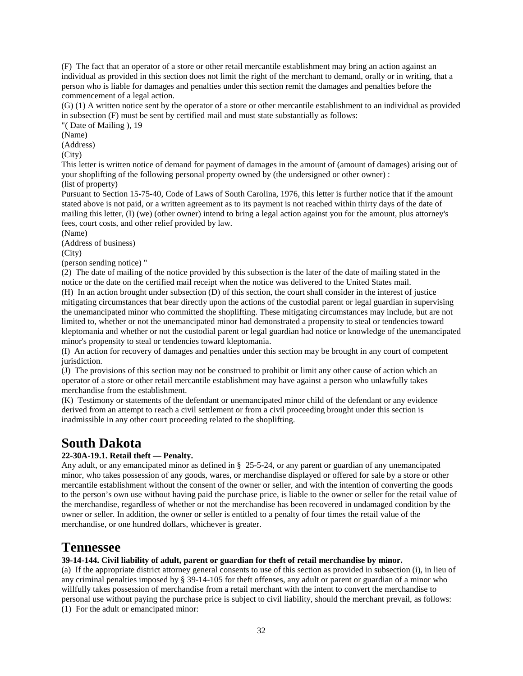(F) The fact that an operator of a store or other retail mercantile establishment may bring an action against an individual as provided in this section does not limit the right of the merchant to demand, orally or in writing, that a person who is liable for damages and penalties under this section remit the damages and penalties before the commencement of a legal action.

(G) (1) A written notice sent by the operator of a store or other mercantile establishment to an individual as provided in subsection (F) must be sent by certified mail and must state substantially as follows:

"( Date of Mailing ), 19

(Name)

(Address)

(City)

This letter is written notice of demand for payment of damages in the amount of (amount of damages) arising out of your shoplifting of the following personal property owned by (the undersigned or other owner) : (list of property)

Pursuant to Section 15-75-40, Code of Laws of South Carolina, 1976, this letter is further notice that if the amount stated above is not paid, or a written agreement as to its payment is not reached within thirty days of the date of mailing this letter, (I) (we) (other owner) intend to bring a legal action against you for the amount, plus attorney's fees, court costs, and other relief provided by law.

(Name)

(Address of business)

(City)

(person sending notice) "

(2) The date of mailing of the notice provided by this subsection is the later of the date of mailing stated in the notice or the date on the certified mail receipt when the notice was delivered to the United States mail.

(H) In an action brought under subsection (D) of this section, the court shall consider in the interest of justice mitigating circumstances that bear directly upon the actions of the custodial parent or legal guardian in supervising the unemancipated minor who committed the shoplifting. These mitigating circumstances may include, but are not limited to, whether or not the unemancipated minor had demonstrated a propensity to steal or tendencies toward kleptomania and whether or not the custodial parent or legal guardian had notice or knowledge of the unemancipated minor's propensity to steal or tendencies toward kleptomania.

(I) An action for recovery of damages and penalties under this section may be brought in any court of competent jurisdiction.

(J) The provisions of this section may not be construed to prohibit or limit any other cause of action which an operator of a store or other retail mercantile establishment may have against a person who unlawfully takes merchandise from the establishment.

(K) Testimony or statements of the defendant or unemancipated minor child of the defendant or any evidence derived from an attempt to reach a civil settlement or from a civil proceeding brought under this section is inadmissible in any other court proceeding related to the shoplifting.

## **South Dakota**

#### **22-30A-19.1. Retail theft — Penalty.**

Any adult, or any emancipated minor as defined in § 25-5-24, or any parent or guardian of any unemancipated minor, who takes possession of any goods, wares, or merchandise displayed or offered for sale by a store or other mercantile establishment without the consent of the owner or seller, and with the intention of converting the goods to the person's own use without having paid the purchase price, is liable to the owner or seller for the retail value of the merchandise, regardless of whether or not the merchandise has been recovered in undamaged condition by the owner or seller. In addition, the owner or seller is entitled to a penalty of four times the retail value of the merchandise, or one hundred dollars, whichever is greater.

### **Tennessee**

**39-14-144. Civil liability of adult, parent or guardian for theft of retail merchandise by minor.**

(a) If the appropriate district attorney general consents to use of this section as provided in subsection (i), in lieu of any criminal penalties imposed by § 39-14-105 for theft offenses, any adult or parent or guardian of a minor who willfully takes possession of merchandise from a retail merchant with the intent to convert the merchandise to personal use without paying the purchase price is subject to civil liability, should the merchant prevail, as follows: (1) For the adult or emancipated minor: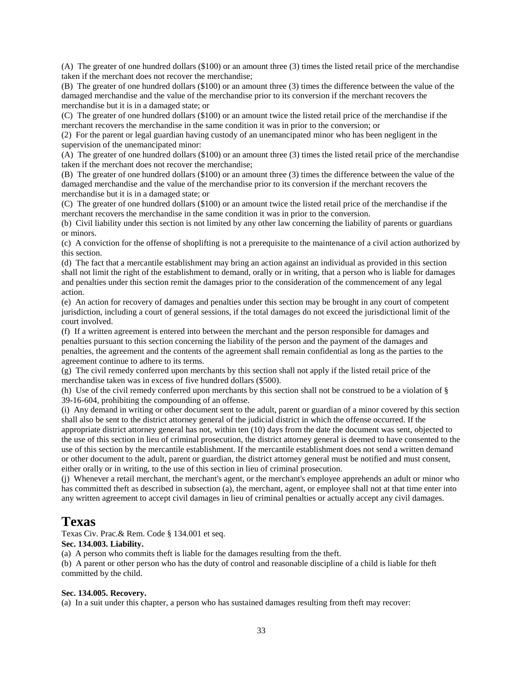(A) The greater of one hundred dollars (\$100) or an amount three (3) times the listed retail price of the merchandise taken if the merchant does not recover the merchandise;

(B) The greater of one hundred dollars (\$100) or an amount three (3) times the difference between the value of the damaged merchandise and the value of the merchandise prior to its conversion if the merchant recovers the merchandise but it is in a damaged state; or

(C) The greater of one hundred dollars (\$100) or an amount twice the listed retail price of the merchandise if the merchant recovers the merchandise in the same condition it was in prior to the conversion; or

(2) For the parent or legal guardian having custody of an unemancipated minor who has been negligent in the supervision of the unemancipated minor:

 $(A)$  The greater of one hundred dollars (\$100) or an amount three (3) times the listed retail price of the merchandise taken if the merchant does not recover the merchandise;

(B) The greater of one hundred dollars (\$100) or an amount three (3) times the difference between the value of the damaged merchandise and the value of the merchandise prior to its conversion if the merchant recovers the merchandise but it is in a damaged state; or

(C) The greater of one hundred dollars (\$100) or an amount twice the listed retail price of the merchandise if the merchant recovers the merchandise in the same condition it was in prior to the conversion.

(b) Civil liability under this section is not limited by any other law concerning the liability of parents or guardians or minors.

(c) A conviction for the offense of shoplifting is not a prerequisite to the maintenance of a civil action authorized by this section.

(d) The fact that a mercantile establishment may bring an action against an individual as provided in this section shall not limit the right of the establishment to demand, orally or in writing, that a person who is liable for damages and penalties under this section remit the damages prior to the consideration of the commencement of any legal action.

(e) An action for recovery of damages and penalties under this section may be brought in any court of competent jurisdiction, including a court of general sessions, if the total damages do not exceed the jurisdictional limit of the court involved.

(f) If a written agreement is entered into between the merchant and the person responsible for damages and penalties pursuant to this section concerning the liability of the person and the payment of the damages and penalties, the agreement and the contents of the agreement shall remain confidential as long as the parties to the agreement continue to adhere to its terms.

(g) The civil remedy conferred upon merchants by this section shall not apply if the listed retail price of the merchandise taken was in excess of five hundred dollars (\$500).

(h) Use of the civil remedy conferred upon merchants by this section shall not be construed to be a violation of § 39-16-604, prohibiting the compounding of an offense.

(i) Any demand in writing or other document sent to the adult, parent or guardian of a minor covered by this section shall also be sent to the district attorney general of the judicial district in which the offense occurred. If the appropriate district attorney general has not, within ten (10) days from the date the document was sent, objected to the use of this section in lieu of criminal prosecution, the district attorney general is deemed to have consented to the use of this section by the mercantile establishment. If the mercantile establishment does not send a written demand or other document to the adult, parent or guardian, the district attorney general must be notified and must consent, either orally or in writing, to the use of this section in lieu of criminal prosecution.

(j) Whenever a retail merchant, the merchant's agent, or the merchant's employee apprehends an adult or minor who has committed theft as described in subsection (a), the merchant, agent, or employee shall not at that time enter into any written agreement to accept civil damages in lieu of criminal penalties or actually accept any civil damages.

### **Texas**

Texas Civ. Prac.& Rem. Code § 134.001 et seq.

#### **Sec. 134.003. Liability.**

(a) A person who commits theft is liable for the damages resulting from the theft.

(b) A parent or other person who has the duty of control and reasonable discipline of a child is liable for theft committed by the child.

#### **Sec. 134.005. Recovery.**

(a) In a suit under this chapter, a person who has sustained damages resulting from theft may recover: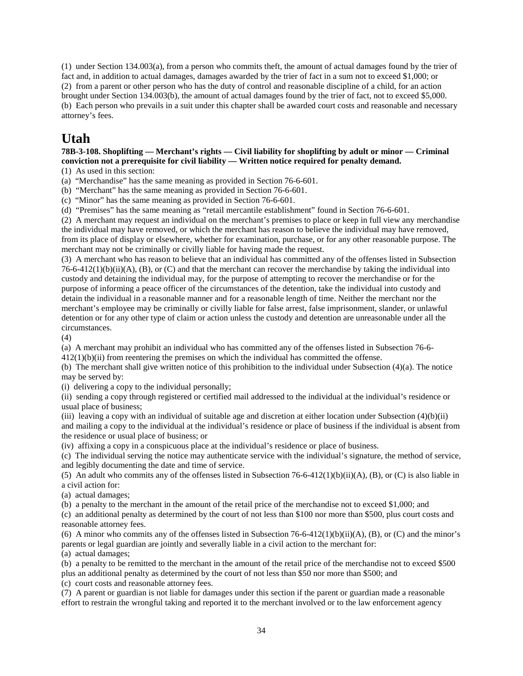(1) under Section 134.003(a), from a person who commits theft, the amount of actual damages found by the trier of fact and, in addition to actual damages, damages awarded by the trier of fact in a sum not to exceed \$1,000; or (2) from a parent or other person who has the duty of control and reasonable discipline of a child, for an action brought under Section 134.003(b), the amount of actual damages found by the trier of fact, not to exceed \$5,000. (b) Each person who prevails in a suit under this chapter shall be awarded court costs and reasonable and necessary attorney's fees.

## **Utah**

### **78B-3-108. Shoplifting — Merchant's rights — Civil liability for shoplifting by adult or minor — Criminal conviction not a prerequisite for civil liability — Written notice required for penalty demand.**

(1) As used in this section:

(a) "Merchandise" has the same meaning as provided in Section 76-6-601.

(b) "Merchant" has the same meaning as provided in Section 76-6-601.

(c) "Minor" has the same meaning as provided in Section 76-6-601.

(d) "Premises" has the same meaning as "retail mercantile establishment" found in Section 76-6-601.

(2) A merchant may request an individual on the merchant's premises to place or keep in full view any merchandise the individual may have removed, or which the merchant has reason to believe the individual may have removed, from its place of display or elsewhere, whether for examination, purchase, or for any other reasonable purpose. The merchant may not be criminally or civilly liable for having made the request.

(3) A merchant who has reason to believe that an individual has committed any of the offenses listed in Subsection  $76-6-412(1)(b)(ii)(A)$ , (B), or (C) and that the merchant can recover the merchandise by taking the individual into custody and detaining the individual may, for the purpose of attempting to recover the merchandise or for the purpose of informing a peace officer of the circumstances of the detention, take the individual into custody and detain the individual in a reasonable manner and for a reasonable length of time. Neither the merchant nor the merchant's employee may be criminally or civilly liable for false arrest, false imprisonment, slander, or unlawful detention or for any other type of claim or action unless the custody and detention are unreasonable under all the circumstances.

(4)

(a) A merchant may prohibit an individual who has committed any of the offenses listed in Subsection 76-6-  $412(1)(b)(ii)$  from reentering the premises on which the individual has committed the offense.

(b) The merchant shall give written notice of this prohibition to the individual under Subsection (4)(a). The notice may be served by:

(i) delivering a copy to the individual personally;

(ii) sending a copy through registered or certified mail addressed to the individual at the individual's residence or usual place of business;

(iii) leaving a copy with an individual of suitable age and discretion at either location under Subsection  $(4)(b)(ii)$ and mailing a copy to the individual at the individual's residence or place of business if the individual is absent from the residence or usual place of business; or

(iv) affixing a copy in a conspicuous place at the individual's residence or place of business.

(c) The individual serving the notice may authenticate service with the individual's signature, the method of service, and legibly documenting the date and time of service.

(5) An adult who commits any of the offenses listed in Subsection 76-6-412(1)(b)(ii)(A), (B), or (C) is also liable in a civil action for:

(a) actual damages;

(b) a penalty to the merchant in the amount of the retail price of the merchandise not to exceed \$1,000; and

(c) an additional penalty as determined by the court of not less than \$100 nor more than \$500, plus court costs and reasonable attorney fees.

(6) A minor who commits any of the offenses listed in Subsection 76-6-412(1)(b)(ii)(A), (B), or (C) and the minor's parents or legal guardian are jointly and severally liable in a civil action to the merchant for:

(a) actual damages;

(b) a penalty to be remitted to the merchant in the amount of the retail price of the merchandise not to exceed \$500 plus an additional penalty as determined by the court of not less than \$50 nor more than \$500; and

(c) court costs and reasonable attorney fees.

(7) A parent or guardian is not liable for damages under this section if the parent or guardian made a reasonable effort to restrain the wrongful taking and reported it to the merchant involved or to the law enforcement agency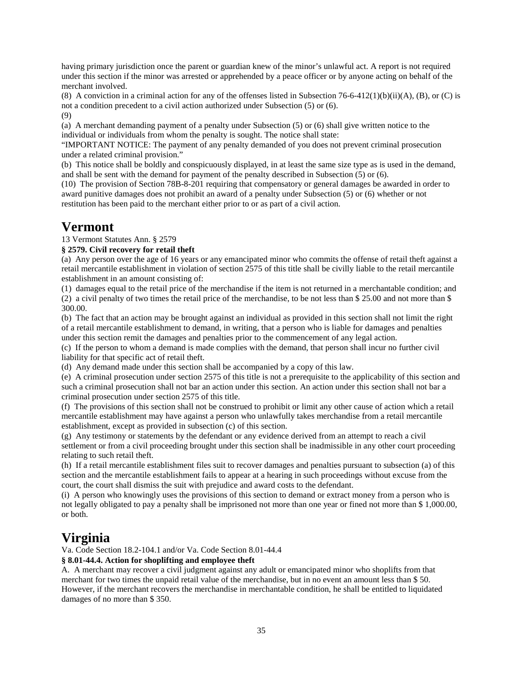having primary jurisdiction once the parent or guardian knew of the minor's unlawful act. A report is not required under this section if the minor was arrested or apprehended by a peace officer or by anyone acting on behalf of the merchant involved.

(8) A conviction in a criminal action for any of the offenses listed in Subsection 76-6-412(1)(b)(ii)(A), (B), or (C) is not a condition precedent to a civil action authorized under Subsection (5) or (6).

(9)

(a) A merchant demanding payment of a penalty under Subsection (5) or (6) shall give written notice to the individual or individuals from whom the penalty is sought. The notice shall state:

"IMPORTANT NOTICE: The payment of any penalty demanded of you does not prevent criminal prosecution under a related criminal provision."

(b) This notice shall be boldly and conspicuously displayed, in at least the same size type as is used in the demand, and shall be sent with the demand for payment of the penalty described in Subsection (5) or (6).

(10) The provision of Section 78B-8-201 requiring that compensatory or general damages be awarded in order to award punitive damages does not prohibit an award of a penalty under Subsection (5) or (6) whether or not restitution has been paid to the merchant either prior to or as part of a civil action.

## **Vermont**

13 Vermont Statutes Ann. § 2579

#### **§ 2579. Civil recovery for retail theft**

(a) Any person over the age of 16 years or any emancipated minor who commits the offense of retail theft against a retail mercantile establishment in violation of section 2575 of this title shall be civilly liable to the retail mercantile establishment in an amount consisting of:

(1) damages equal to the retail price of the merchandise if the item is not returned in a merchantable condition; and (2) a civil penalty of two times the retail price of the merchandise, to be not less than \$ 25.00 and not more than \$ 300.00.

(b) The fact that an action may be brought against an individual as provided in this section shall not limit the right of a retail mercantile establishment to demand, in writing, that a person who is liable for damages and penalties under this section remit the damages and penalties prior to the commencement of any legal action.

(c) If the person to whom a demand is made complies with the demand, that person shall incur no further civil liability for that specific act of retail theft.

(d) Any demand made under this section shall be accompanied by a copy of this law.

(e) A criminal prosecution under section 2575 of this title is not a prerequisite to the applicability of this section and such a criminal prosecution shall not bar an action under this section. An action under this section shall not bar a criminal prosecution under section 2575 of this title.

(f) The provisions of this section shall not be construed to prohibit or limit any other cause of action which a retail mercantile establishment may have against a person who unlawfully takes merchandise from a retail mercantile establishment, except as provided in subsection (c) of this section.

(g) Any testimony or statements by the defendant or any evidence derived from an attempt to reach a civil settlement or from a civil proceeding brought under this section shall be inadmissible in any other court proceeding relating to such retail theft.

(h) If a retail mercantile establishment files suit to recover damages and penalties pursuant to subsection (a) of this section and the mercantile establishment fails to appear at a hearing in such proceedings without excuse from the court, the court shall dismiss the suit with prejudice and award costs to the defendant.

(i) A person who knowingly uses the provisions of this section to demand or extract money from a person who is not legally obligated to pay a penalty shall be imprisoned not more than one year or fined not more than \$ 1,000.00, or both.

## **Virginia**

Va. Code Section 18.2-104.1 and/or Va. Code Section 8.01-44.4

**§ 8.01-44.4. Action for shoplifting and employee theft**

A. A merchant may recover a civil judgment against any adult or emancipated minor who shoplifts from that merchant for two times the unpaid retail value of the merchandise, but in no event an amount less than \$ 50. However, if the merchant recovers the merchandise in merchantable condition, he shall be entitled to liquidated damages of no more than \$ 350.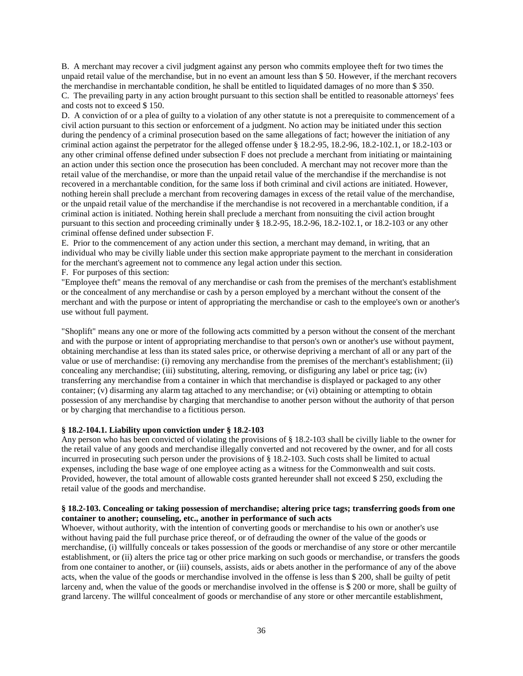B. A merchant may recover a civil judgment against any person who commits employee theft for two times the unpaid retail value of the merchandise, but in no event an amount less than \$ 50. However, if the merchant recovers the merchandise in merchantable condition, he shall be entitled to liquidated damages of no more than \$ 350. C. The prevailing party in any action brought pursuant to this section shall be entitled to reasonable attorneys' fees and costs not to exceed \$ 150.

D. A conviction of or a plea of guilty to a violation of any other statute is not a prerequisite to commencement of a civil action pursuant to this section or enforcement of a judgment. No action may be initiated under this section during the pendency of a criminal prosecution based on the same allegations of fact; however the initiation of any criminal action against the perpetrator for the alleged offense under § 18.2-95, 18.2-96, 18.2-102.1, or 18.2-103 or any other criminal offense defined under subsection F does not preclude a merchant from initiating or maintaining an action under this section once the prosecution has been concluded. A merchant may not recover more than the retail value of the merchandise, or more than the unpaid retail value of the merchandise if the merchandise is not recovered in a merchantable condition, for the same loss if both criminal and civil actions are initiated. However, nothing herein shall preclude a merchant from recovering damages in excess of the retail value of the merchandise, or the unpaid retail value of the merchandise if the merchandise is not recovered in a merchantable condition, if a criminal action is initiated. Nothing herein shall preclude a merchant from nonsuiting the civil action brought pursuant to this section and proceeding criminally under § 18.2-95, 18.2-96, 18.2-102.1, or 18.2-103 or any other criminal offense defined under subsection F.

E. Prior to the commencement of any action under this section, a merchant may demand, in writing, that an individual who may be civilly liable under this section make appropriate payment to the merchant in consideration for the merchant's agreement not to commence any legal action under this section.

F. For purposes of this section:

"Employee theft" means the removal of any merchandise or cash from the premises of the merchant's establishment or the concealment of any merchandise or cash by a person employed by a merchant without the consent of the merchant and with the purpose or intent of appropriating the merchandise or cash to the employee's own or another's use without full payment.

"Shoplift" means any one or more of the following acts committed by a person without the consent of the merchant and with the purpose or intent of appropriating merchandise to that person's own or another's use without payment, obtaining merchandise at less than its stated sales price, or otherwise depriving a merchant of all or any part of the value or use of merchandise: (i) removing any merchandise from the premises of the merchant's establishment; (ii) concealing any merchandise; (iii) substituting, altering, removing, or disfiguring any label or price tag; (iv) transferring any merchandise from a container in which that merchandise is displayed or packaged to any other container; (v) disarming any alarm tag attached to any merchandise; or (vi) obtaining or attempting to obtain possession of any merchandise by charging that merchandise to another person without the authority of that person or by charging that merchandise to a fictitious person.

#### **§ 18.2-104.1. Liability upon conviction under § 18.2-103**

Any person who has been convicted of violating the provisions of § 18.2-103 shall be civilly liable to the owner for the retail value of any goods and merchandise illegally converted and not recovered by the owner, and for all costs incurred in prosecuting such person under the provisions of § 18.2-103. Such costs shall be limited to actual expenses, including the base wage of one employee acting as a witness for the Commonwealth and suit costs. Provided, however, the total amount of allowable costs granted hereunder shall not exceed \$ 250, excluding the retail value of the goods and merchandise.

#### **§ 18.2-103. Concealing or taking possession of merchandise; altering price tags; transferring goods from one container to another; counseling, etc., another in performance of such acts**

Whoever, without authority, with the intention of converting goods or merchandise to his own or another's use without having paid the full purchase price thereof, or of defrauding the owner of the value of the goods or merchandise, (i) willfully conceals or takes possession of the goods or merchandise of any store or other mercantile establishment, or (ii) alters the price tag or other price marking on such goods or merchandise, or transfers the goods from one container to another, or (iii) counsels, assists, aids or abets another in the performance of any of the above acts, when the value of the goods or merchandise involved in the offense is less than \$ 200, shall be guilty of petit larceny and, when the value of the goods or merchandise involved in the offense is \$ 200 or more, shall be guilty of grand larceny. The willful concealment of goods or merchandise of any store or other mercantile establishment,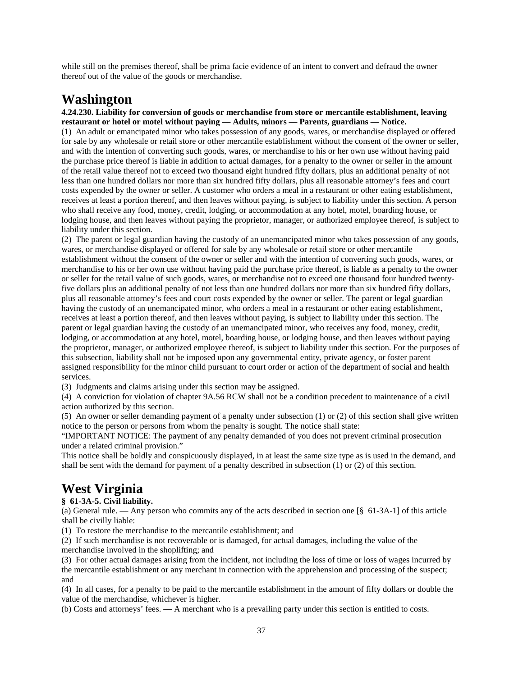while still on the premises thereof, shall be prima facie evidence of an intent to convert and defraud the owner thereof out of the value of the goods or merchandise.

### **Washington**

#### **4.24.230. Liability for conversion of goods or merchandise from store or mercantile establishment, leaving restaurant or hotel or motel without paying — Adults, minors — Parents, guardians — Notice.**

(1) An adult or emancipated minor who takes possession of any goods, wares, or merchandise displayed or offered for sale by any wholesale or retail store or other mercantile establishment without the consent of the owner or seller, and with the intention of converting such goods, wares, or merchandise to his or her own use without having paid the purchase price thereof is liable in addition to actual damages, for a penalty to the owner or seller in the amount of the retail value thereof not to exceed two thousand eight hundred fifty dollars, plus an additional penalty of not less than one hundred dollars nor more than six hundred fifty dollars, plus all reasonable attorney's fees and court costs expended by the owner or seller. A customer who orders a meal in a restaurant or other eating establishment, receives at least a portion thereof, and then leaves without paying, is subject to liability under this section. A person who shall receive any food, money, credit, lodging, or accommodation at any hotel, motel, boarding house, or lodging house, and then leaves without paying the proprietor, manager, or authorized employee thereof, is subject to liability under this section.

(2) The parent or legal guardian having the custody of an unemancipated minor who takes possession of any goods, wares, or merchandise displayed or offered for sale by any wholesale or retail store or other mercantile establishment without the consent of the owner or seller and with the intention of converting such goods, wares, or merchandise to his or her own use without having paid the purchase price thereof, is liable as a penalty to the owner or seller for the retail value of such goods, wares, or merchandise not to exceed one thousand four hundred twentyfive dollars plus an additional penalty of not less than one hundred dollars nor more than six hundred fifty dollars, plus all reasonable attorney's fees and court costs expended by the owner or seller. The parent or legal guardian having the custody of an unemancipated minor, who orders a meal in a restaurant or other eating establishment, receives at least a portion thereof, and then leaves without paying, is subject to liability under this section. The parent or legal guardian having the custody of an unemancipated minor, who receives any food, money, credit, lodging, or accommodation at any hotel, motel, boarding house, or lodging house, and then leaves without paying the proprietor, manager, or authorized employee thereof, is subject to liability under this section. For the purposes of this subsection, liability shall not be imposed upon any governmental entity, private agency, or foster parent assigned responsibility for the minor child pursuant to court order or action of the department of social and health services.

(3) Judgments and claims arising under this section may be assigned.

(4) A conviction for violation of chapter 9A.56 RCW shall not be a condition precedent to maintenance of a civil action authorized by this section.

(5) An owner or seller demanding payment of a penalty under subsection (1) or (2) of this section shall give written notice to the person or persons from whom the penalty is sought. The notice shall state:

"IMPORTANT NOTICE: The payment of any penalty demanded of you does not prevent criminal prosecution under a related criminal provision."

This notice shall be boldly and conspicuously displayed, in at least the same size type as is used in the demand, and shall be sent with the demand for payment of a penalty described in subsection (1) or (2) of this section.

## **West Virginia**

#### **§ 61-3A-5. Civil liability.**

(a) General rule. — Any person who commits any of the acts described in section one [§ 61-3A-1] of this article shall be civilly liable:

(1) To restore the merchandise to the mercantile establishment; and

(2) If such merchandise is not recoverable or is damaged, for actual damages, including the value of the merchandise involved in the shoplifting; and

(3) For other actual damages arising from the incident, not including the loss of time or loss of wages incurred by the mercantile establishment or any merchant in connection with the apprehension and processing of the suspect; and

(4) In all cases, for a penalty to be paid to the mercantile establishment in the amount of fifty dollars or double the value of the merchandise, whichever is higher.

(b) Costs and attorneys' fees. — A merchant who is a prevailing party under this section is entitled to costs.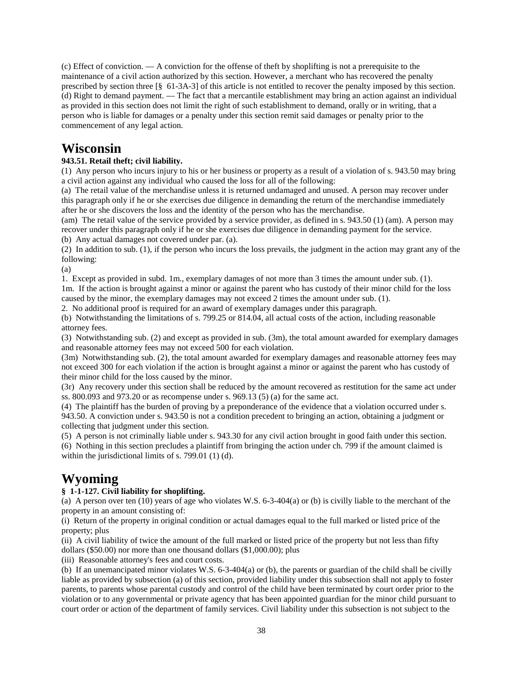(c) Effect of conviction. — A conviction for the offense of theft by shoplifting is not a prerequisite to the maintenance of a civil action authorized by this section. However, a merchant who has recovered the penalty prescribed by section three [§ 61-3A-3] of this article is not entitled to recover the penalty imposed by this section. (d) Right to demand payment. — The fact that a mercantile establishment may bring an action against an individual as provided in this section does not limit the right of such establishment to demand, orally or in writing, that a person who is liable for damages or a penalty under this section remit said damages or penalty prior to the commencement of any legal action.

## **Wisconsin**

#### **943.51. Retail theft; civil liability.**

(1) Any person who incurs injury to his or her business or property as a result of a violation of s. 943.50 may bring a civil action against any individual who caused the loss for all of the following:

(a) The retail value of the merchandise unless it is returned undamaged and unused. A person may recover under this paragraph only if he or she exercises due diligence in demanding the return of the merchandise immediately after he or she discovers the loss and the identity of the person who has the merchandise.

(am) The retail value of the service provided by a service provider, as defined in s. 943.50 (1) (am). A person may recover under this paragraph only if he or she exercises due diligence in demanding payment for the service. (b) Any actual damages not covered under par. (a).

(2) In addition to sub. (1), if the person who incurs the loss prevails, the judgment in the action may grant any of the following:

(a)

1. Except as provided in subd. 1m., exemplary damages of not more than 3 times the amount under sub. (1). 1m. If the action is brought against a minor or against the parent who has custody of their minor child for the loss caused by the minor, the exemplary damages may not exceed 2 times the amount under sub. (1).

2. No additional proof is required for an award of exemplary damages under this paragraph.

(b) Notwithstanding the limitations of s. 799.25 or 814.04, all actual costs of the action, including reasonable attorney fees.

(3) Notwithstanding sub. (2) and except as provided in sub. (3m), the total amount awarded for exemplary damages and reasonable attorney fees may not exceed 500 for each violation.

(3m) Notwithstanding sub. (2), the total amount awarded for exemplary damages and reasonable attorney fees may not exceed 300 for each violation if the action is brought against a minor or against the parent who has custody of their minor child for the loss caused by the minor.

(3r) Any recovery under this section shall be reduced by the amount recovered as restitution for the same act under ss. 800.093 and 973.20 or as recompense under s. 969.13 (5) (a) for the same act.

(4) The plaintiff has the burden of proving by a preponderance of the evidence that a violation occurred under s. 943.50. A conviction under s. 943.50 is not a condition precedent to bringing an action, obtaining a judgment or collecting that judgment under this section.

(5) A person is not criminally liable under s. 943.30 for any civil action brought in good faith under this section.

(6) Nothing in this section precludes a plaintiff from bringing the action under ch. 799 if the amount claimed is within the jurisdictional limits of s. 799.01 (1) (d).

## **Wyoming**

#### **§ 1-1-127. Civil liability for shoplifting.**

(a) A person over ten (10) years of age who violates W.S. 6-3-404(a) or (b) is civilly liable to the merchant of the property in an amount consisting of:

(i) Return of the property in original condition or actual damages equal to the full marked or listed price of the property; plus

(ii) A civil liability of twice the amount of the full marked or listed price of the property but not less than fifty dollars (\$50.00) nor more than one thousand dollars (\$1,000.00); plus

(iii) Reasonable attorney's fees and court costs.

(b) If an unemancipated minor violates W.S. 6-3-404(a) or (b), the parents or guardian of the child shall be civilly liable as provided by subsection (a) of this section, provided liability under this subsection shall not apply to foster parents, to parents whose parental custody and control of the child have been terminated by court order prior to the violation or to any governmental or private agency that has been appointed guardian for the minor child pursuant to court order or action of the department of family services. Civil liability under this subsection is not subject to the